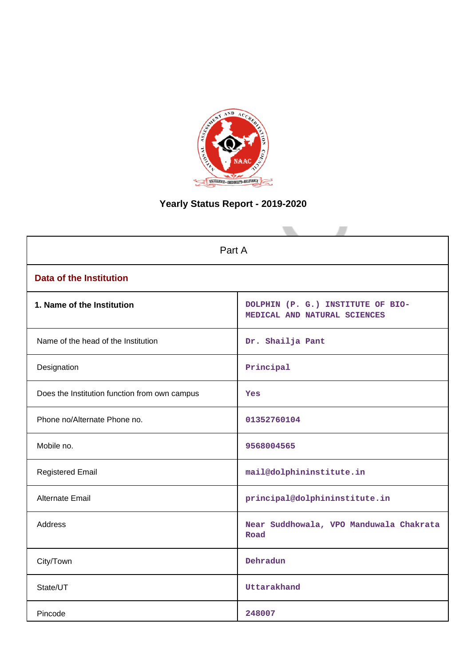

# **Yearly Status Report - 2019-2020**

| Part A                                        |                                                                   |  |  |  |  |  |  |
|-----------------------------------------------|-------------------------------------------------------------------|--|--|--|--|--|--|
| <b>Data of the Institution</b>                |                                                                   |  |  |  |  |  |  |
| 1. Name of the Institution                    | DOLPHIN (P. G.) INSTITUTE OF BIO-<br>MEDICAL AND NATURAL SCIENCES |  |  |  |  |  |  |
| Name of the head of the Institution           | Dr. Shailja Pant                                                  |  |  |  |  |  |  |
| Designation                                   | Principal                                                         |  |  |  |  |  |  |
| Does the Institution function from own campus | Yes                                                               |  |  |  |  |  |  |
| Phone no/Alternate Phone no.                  | 01352760104                                                       |  |  |  |  |  |  |
| Mobile no.                                    | 9568004565                                                        |  |  |  |  |  |  |
| <b>Registered Email</b>                       | mail@dolphininstitute.in                                          |  |  |  |  |  |  |
| Alternate Email                               | principal@dolphininstitute.in                                     |  |  |  |  |  |  |
| <b>Address</b>                                | Near Suddhowala, VPO Manduwala Chakrata<br>Road                   |  |  |  |  |  |  |
| City/Town                                     | Dehradun                                                          |  |  |  |  |  |  |
| State/UT                                      | Uttarakhand                                                       |  |  |  |  |  |  |
| Pincode                                       | 248007                                                            |  |  |  |  |  |  |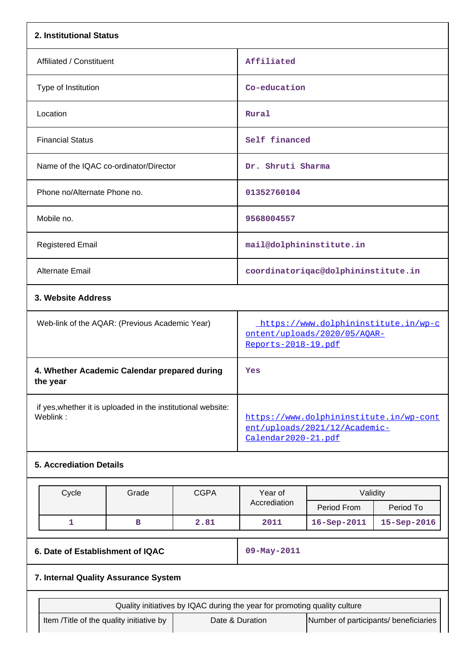| 2. Institutional Status                                                  |             |             |                                                                                                 |                                       |             |  |
|--------------------------------------------------------------------------|-------------|-------------|-------------------------------------------------------------------------------------------------|---------------------------------------|-------------|--|
| Affiliated / Constituent                                                 |             |             | Affiliated                                                                                      |                                       |             |  |
| Type of Institution                                                      |             |             | Co-education                                                                                    |                                       |             |  |
| Location                                                                 |             |             | Rural                                                                                           |                                       |             |  |
| <b>Financial Status</b>                                                  |             |             | Self financed                                                                                   |                                       |             |  |
| Name of the IQAC co-ordinator/Director                                   |             |             | Dr. Shruti Sharma                                                                               |                                       |             |  |
| Phone no/Alternate Phone no.                                             |             |             | 01352760104                                                                                     |                                       |             |  |
| Mobile no.                                                               |             |             | 9568004557                                                                                      |                                       |             |  |
| <b>Registered Email</b>                                                  |             |             | mail@dolphininstitute.in                                                                        |                                       |             |  |
| Alternate Email                                                          |             |             |                                                                                                 | coordinatoriqac@dolphininstitute.in   |             |  |
| 3. Website Address                                                       |             |             |                                                                                                 |                                       |             |  |
| Web-link of the AQAR: (Previous Academic Year)                           |             |             | https://www.dolphininstitute.in/wp-c<br>ontent/uploads/2020/05/AQAR-<br>Reports-2018-19.pdf     |                                       |             |  |
| 4. Whether Academic Calendar prepared during<br>the year                 |             |             | Yes                                                                                             |                                       |             |  |
| if yes, whether it is uploaded in the institutional website:<br>Weblink: |             |             | https://www.dolphininstitute.in/wp-cont<br>ent/uploads/2021/12/Academic-<br>Calendar2020-21.pdf |                                       |             |  |
| <b>5. Accrediation Details</b>                                           |             |             |                                                                                                 |                                       |             |  |
| Cycle                                                                    | Grade       | <b>CGPA</b> | Year of                                                                                         | Validity                              |             |  |
|                                                                          |             |             | Accrediation                                                                                    | Period From                           | Period To   |  |
| $\mathbf{1}$                                                             | $\mathbf B$ | 2.81        | 2011                                                                                            | 16-Sep-2011                           | 15-Sep-2016 |  |
| 6. Date of Establishment of IQAC                                         |             |             | 09-May-2011                                                                                     |                                       |             |  |
| 7. Internal Quality Assurance System                                     |             |             |                                                                                                 |                                       |             |  |
|                                                                          |             |             | Quality initiatives by IQAC during the year for promoting quality culture                       |                                       |             |  |
| Item /Title of the quality initiative by                                 |             |             | Date & Duration                                                                                 | Number of participants/ beneficiaries |             |  |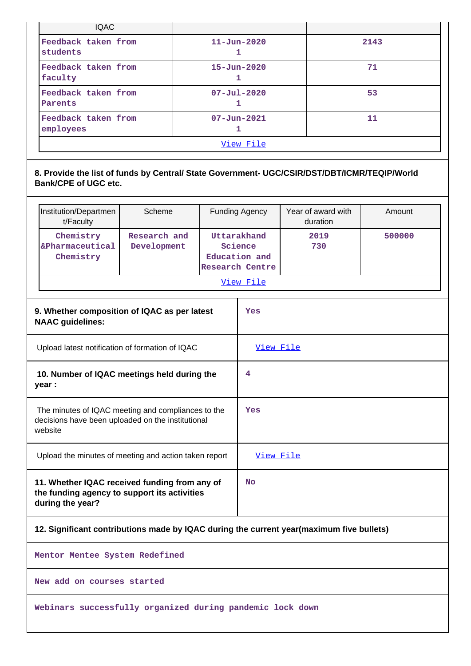| <b>IQAC</b>                                                                                                                                          |        |                                                                   |                        |                                |        |
|------------------------------------------------------------------------------------------------------------------------------------------------------|--------|-------------------------------------------------------------------|------------------------|--------------------------------|--------|
| Feedback taken from<br>$11 - Jun - 2020$<br>students<br>1.                                                                                           |        |                                                                   |                        |                                | 2143   |
| Feedback taken from<br>faculty                                                                                                                       |        |                                                                   | $15 - Jun - 2020$<br>1 |                                | 71     |
| Feedback taken from<br>Parents                                                                                                                       |        |                                                                   | $07 - Jul - 2020$<br>1 |                                | 53     |
| Feedback taken from<br>employees                                                                                                                     |        |                                                                   | $07 - Jun - 2021$<br>1 |                                | 11     |
|                                                                                                                                                      |        |                                                                   | View File              |                                |        |
| 8. Provide the list of funds by Central/ State Government- UGC/CSIR/DST/DBT/ICMR/TEQIP/World<br><b>Bank/CPE of UGC etc.</b><br>Institution/Departmen | Scheme |                                                                   | <b>Funding Agency</b>  | Year of award with<br>duration | Amount |
| t/Faculty<br>Chemistry<br>Research and<br>&Pharmaceutical<br>Development<br>Chemistry                                                                |        | Uttarakhand<br>Science<br>Education and<br><b>Research Centre</b> |                        | 2019<br>730                    | 500000 |
|                                                                                                                                                      |        |                                                                   | View File              |                                |        |
| 9. Whether composition of IQAC as per latest<br><b>NAAC guidelines:</b>                                                                              |        |                                                                   | Yes                    |                                |        |
| Upload latest notification of formation of IQAC                                                                                                      |        |                                                                   | View File              |                                |        |
| 10. Number of IQAC meetings held during the<br>year :                                                                                                |        |                                                                   | 4                      |                                |        |
| The minutes of IQAC meeting and compliances to the<br>decisions have been uploaded on the institutional<br>website                                   |        |                                                                   | Yes                    |                                |        |
| Upload the minutes of meeting and action taken report                                                                                                |        | <u>View File</u>                                                  |                        |                                |        |
| 11. Whether IQAC received funding from any of<br>the funding agency to support its activities<br>during the year?                                    |        |                                                                   | No                     |                                |        |
| 12. Significant contributions made by IQAC during the current year(maximum five bullets)                                                             |        |                                                                   |                        |                                |        |

**Mentor Mentee System Redefined**

**New add on courses started**

**Webinars successfully organized during pandemic lock down**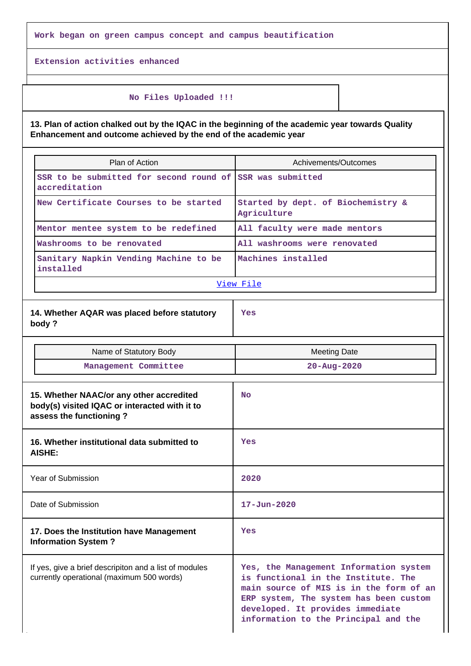**Work began on green campus concept and campus beautification**

**Extension activities enhanced**

#### **No Files Uploaded !!!**

**13. Plan of action chalked out by the IQAC in the beginning of the academic year towards Quality Enhancement and outcome achieved by the end of the academic year**

| Plan of Action                                                                                                       | Achivements/Outcomes                                                                                                                                                                                                                           |  |  |  |  |
|----------------------------------------------------------------------------------------------------------------------|------------------------------------------------------------------------------------------------------------------------------------------------------------------------------------------------------------------------------------------------|--|--|--|--|
|                                                                                                                      |                                                                                                                                                                                                                                                |  |  |  |  |
| SSR to be submitted for second round of SSR was submitted<br>accreditation                                           |                                                                                                                                                                                                                                                |  |  |  |  |
| New Certificate Courses to be started                                                                                | Started by dept. of Biochemistry &<br>Agriculture                                                                                                                                                                                              |  |  |  |  |
| Mentor mentee system to be redefined                                                                                 | All faculty were made mentors                                                                                                                                                                                                                  |  |  |  |  |
| Washrooms to be renovated                                                                                            | All washrooms were renovated                                                                                                                                                                                                                   |  |  |  |  |
| Sanitary Napkin Vending Machine to be<br>installed                                                                   | Machines installed                                                                                                                                                                                                                             |  |  |  |  |
|                                                                                                                      | View File                                                                                                                                                                                                                                      |  |  |  |  |
| 14. Whether AQAR was placed before statutory<br>body?                                                                | Yes                                                                                                                                                                                                                                            |  |  |  |  |
| Name of Statutory Body                                                                                               | <b>Meeting Date</b>                                                                                                                                                                                                                            |  |  |  |  |
| Management Committee                                                                                                 | 20-Aug-2020                                                                                                                                                                                                                                    |  |  |  |  |
| 15. Whether NAAC/or any other accredited<br>body(s) visited IQAC or interacted with it to<br>assess the functioning? | <b>No</b>                                                                                                                                                                                                                                      |  |  |  |  |
| 16. Whether institutional data submitted to<br><b>AISHE:</b>                                                         | Yes                                                                                                                                                                                                                                            |  |  |  |  |
| Year of Submission                                                                                                   | 2020                                                                                                                                                                                                                                           |  |  |  |  |
| Date of Submission                                                                                                   | 17-Jun-2020                                                                                                                                                                                                                                    |  |  |  |  |
| 17. Does the Institution have Management<br><b>Information System?</b>                                               | Yes                                                                                                                                                                                                                                            |  |  |  |  |
| If yes, give a brief descripiton and a list of modules<br>currently operational (maximum 500 words)                  | Yes, the Management Information system<br>is functional in the Institute. The<br>main source of MIS is in the form of an<br>ERP system, The system has been custom<br>developed. It provides immediate<br>information to the Principal and the |  |  |  |  |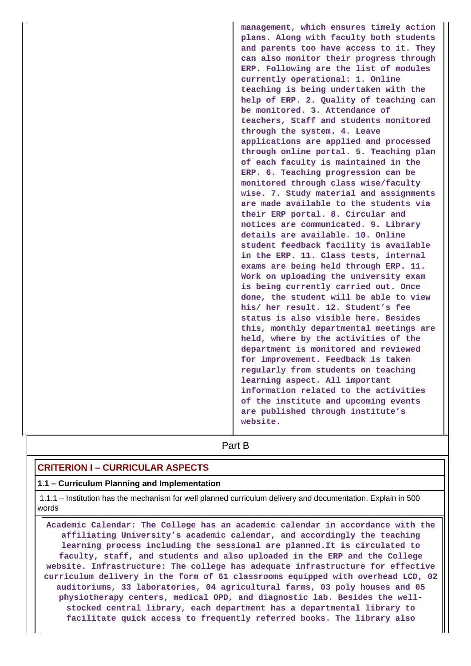**management, which ensures timely action plans. Along with faculty both students and parents too have access to it. They can also monitor their progress through ERP. Following are the list of modules currently operational: 1. Online teaching is being undertaken with the help of ERP. 2. Quality of teaching can be monitored. 3. Attendance of teachers, Staff and students monitored through the system. 4. Leave applications are applied and processed through online portal. 5. Teaching plan of each faculty is maintained in the ERP. 6. Teaching progression can be monitored through class wise/faculty wise. 7. Study material and assignments are made available to the students via their ERP portal. 8. Circular and notices are communicated. 9. Library details are available. 10. Online student feedback facility is available in the ERP. 11. Class tests, internal exams are being held through ERP. 11. Work on uploading the university exam is being currently carried out. Once done, the student will be able to view his/ her result. 12. Student's fee status is also visible here. Besides this, monthly departmental meetings are held, where by the activities of the department is monitored and reviewed for improvement. Feedback is taken regularly from students on teaching learning aspect. All important information related to the activities of the institute and upcoming events are published through institute's website.**

# **Part B**

### **CRITERION I – CURRICULAR ASPECTS**

#### **1.1 – Curriculum Planning and Implementation**

 1.1.1 – Institution has the mechanism for well planned curriculum delivery and documentation. Explain in 500 words

 **Academic Calendar: The College has an academic calendar in accordance with the affiliating University's academic calendar, and accordingly the teaching learning process including the sessional are planned.It is circulated to faculty, staff, and students and also uploaded in the ERP and the College website. Infrastructure: The college has adequate infrastructure for effective curriculum delivery in the form of 61 classrooms equipped with overhead LCD, 02 auditoriums, 33 laboratories, 04 agricultural farms, 03 poly houses and 05 physiotherapy centers, medical OPD, and diagnostic lab. Besides the wellstocked central library, each department has a departmental library to facilitate quick access to frequently referred books. The library also**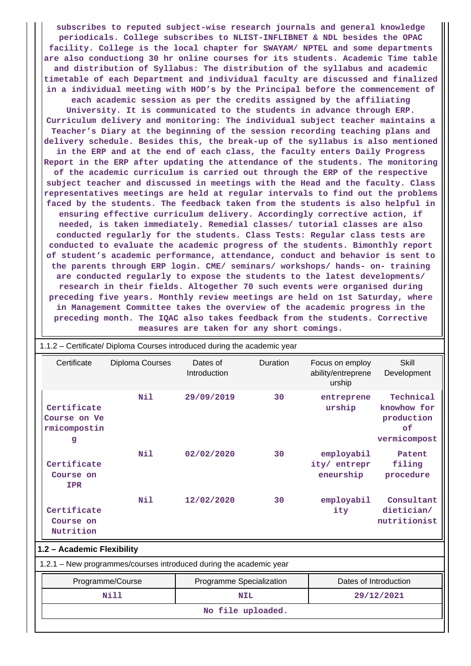**subscribes to reputed subject-wise research journals and general knowledge periodicals. College subscribes to NLIST-INFLIBNET & NDL besides the OPAC facility. College is the local chapter for SWAYAM/ NPTEL and some departments are also conductiong 30 hr online courses for its students. Academic Time table and distribution of Syllabus: The distribution of the syllabus and academic timetable of each Department and individual faculty are discussed and finalized in a individual meeting with HOD's by the Principal before the commencement of each academic session as per the credits assigned by the affiliating University. It is communicated to the students in advance through ERP. Curriculum delivery and monitoring: The individual subject teacher maintains a Teacher's Diary at the beginning of the session recording teaching plans and delivery schedule. Besides this, the break-up of the syllabus is also mentioned in the ERP and at the end of each class, the faculty enters Daily Progress Report in the ERP after updating the attendance of the students. The monitoring of the academic curriculum is carried out through the ERP of the respective subject teacher and discussed in meetings with the Head and the faculty. Class representatives meetings are held at regular intervals to find out the problems faced by the students. The feedback taken from the students is also helpful in ensuring effective curriculum delivery. Accordingly corrective action, if needed, is taken immediately. Remedial classes/ tutorial classes are also conducted regularly for the students. Class Tests: Regular class tests are conducted to evaluate the academic progress of the students. Bimonthly report of student's academic performance, attendance, conduct and behavior is sent to the parents through ERP login. CME/ seminars/ workshops/ hands- on- training are conducted regularly to expose the students to the latest developments/ research in their fields. Altogether 70 such events were organised during preceding five years. Monthly review meetings are held on 1st Saturday, where in Management Committee takes the overview of the academic progress in the preceding month. The IQAC also takes feedback from the students. Corrective measures are taken for any short comings.**

| 1.1.2 - Certificate/ Diploma Courses introduced during the academic year |                                                                    |                          |            |                                                 |                                                              |  |  |  |
|--------------------------------------------------------------------------|--------------------------------------------------------------------|--------------------------|------------|-------------------------------------------------|--------------------------------------------------------------|--|--|--|
| Certificate                                                              | Diploma Courses                                                    | Dates of<br>Introduction | Duration   | Focus on employ<br>ability/entreprene<br>urship | <b>Skill</b><br>Development                                  |  |  |  |
| Certificate<br>Course on Ve<br>rmicompostin<br>g                         | Nil                                                                | 29/09/2019               | 30         | entreprene<br>urship                            | Technical<br>knowhow for<br>production<br>of<br>vermicompost |  |  |  |
| Certificate<br>Course on<br><b>IPR</b>                                   | N11                                                                | 02/02/2020               | 30         | employabil<br>ity/ entrepr<br>eneurship         | Patent<br>filing<br>procedure                                |  |  |  |
| Certificate<br>Course on<br>Nutrition                                    | N11                                                                | 12/02/2020               | 30         | employabil<br>ity                               | Consultant<br>dietician/<br>nutritionist                     |  |  |  |
| 1.2 - Academic Flexibility                                               |                                                                    |                          |            |                                                 |                                                              |  |  |  |
|                                                                          | 1.2.1 - New programmes/courses introduced during the academic year |                          |            |                                                 |                                                              |  |  |  |
|                                                                          | Programme/Course                                                   | Programme Specialization |            |                                                 | Dates of Introduction                                        |  |  |  |
|                                                                          | <b>Nill</b>                                                        |                          | <b>NIL</b> |                                                 | 29/12/2021                                                   |  |  |  |
|                                                                          |                                                                    | No file uploaded.        |            |                                                 |                                                              |  |  |  |
|                                                                          |                                                                    |                          |            |                                                 |                                                              |  |  |  |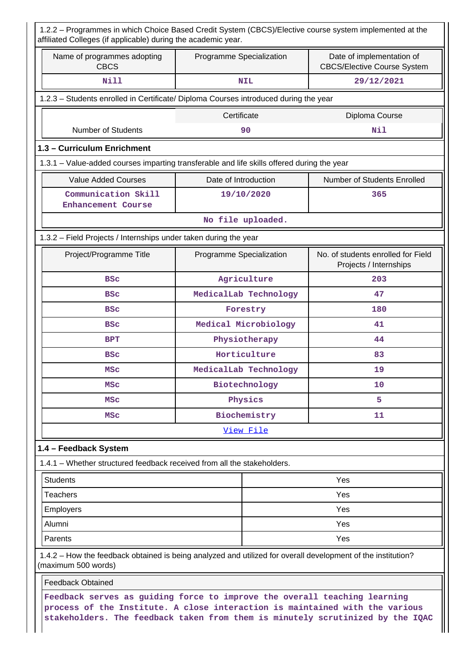| Name of programmes adopting<br><b>CBCS</b>                                                                                                                                                                                                  | Programme Specialization | Date of implementation of<br><b>CBCS/Elective Course System</b> |  |  |  |  |  |  |  |
|---------------------------------------------------------------------------------------------------------------------------------------------------------------------------------------------------------------------------------------------|--------------------------|-----------------------------------------------------------------|--|--|--|--|--|--|--|
| <b>Nill</b>                                                                                                                                                                                                                                 | <b>NIL</b>               | 29/12/2021                                                      |  |  |  |  |  |  |  |
| 1.2.3 - Students enrolled in Certificate/ Diploma Courses introduced during the year                                                                                                                                                        |                          |                                                                 |  |  |  |  |  |  |  |
|                                                                                                                                                                                                                                             | Certificate              | Diploma Course                                                  |  |  |  |  |  |  |  |
| <b>Number of Students</b>                                                                                                                                                                                                                   | 90                       | Nil                                                             |  |  |  |  |  |  |  |
| 1.3 - Curriculum Enrichment                                                                                                                                                                                                                 |                          |                                                                 |  |  |  |  |  |  |  |
| 1.3.1 – Value-added courses imparting transferable and life skills offered during the year                                                                                                                                                  |                          |                                                                 |  |  |  |  |  |  |  |
| <b>Value Added Courses</b>                                                                                                                                                                                                                  | Date of Introduction     | Number of Students Enrolled                                     |  |  |  |  |  |  |  |
| Communication Skill<br>Enhancement Course                                                                                                                                                                                                   | 19/10/2020               | 365                                                             |  |  |  |  |  |  |  |
|                                                                                                                                                                                                                                             | No file uploaded.        |                                                                 |  |  |  |  |  |  |  |
| 1.3.2 - Field Projects / Internships under taken during the year                                                                                                                                                                            |                          |                                                                 |  |  |  |  |  |  |  |
| Project/Programme Title                                                                                                                                                                                                                     | Programme Specialization | No. of students enrolled for Field<br>Projects / Internships    |  |  |  |  |  |  |  |
| <b>BSC</b>                                                                                                                                                                                                                                  | Agriculture              | 203                                                             |  |  |  |  |  |  |  |
| <b>BSC</b>                                                                                                                                                                                                                                  | MedicalLab Technology    | 47                                                              |  |  |  |  |  |  |  |
| <b>BSC</b>                                                                                                                                                                                                                                  | Forestry                 | 180                                                             |  |  |  |  |  |  |  |
| <b>BSC</b>                                                                                                                                                                                                                                  | Medical Microbiology     | 41                                                              |  |  |  |  |  |  |  |
| <b>BPT</b>                                                                                                                                                                                                                                  | Physiotherapy            | 44                                                              |  |  |  |  |  |  |  |
| <b>BSC</b>                                                                                                                                                                                                                                  | Horticulture             | 83                                                              |  |  |  |  |  |  |  |
| <b>MSC</b>                                                                                                                                                                                                                                  | MedicalLab Technology    | 19                                                              |  |  |  |  |  |  |  |
| <b>MSC</b>                                                                                                                                                                                                                                  | Biotechnology            | 10                                                              |  |  |  |  |  |  |  |
| <b>MSC</b>                                                                                                                                                                                                                                  | Physics                  | 5                                                               |  |  |  |  |  |  |  |
| <b>MSC</b>                                                                                                                                                                                                                                  | Biochemistry             | 11                                                              |  |  |  |  |  |  |  |
|                                                                                                                                                                                                                                             | View File                |                                                                 |  |  |  |  |  |  |  |
| 1.4 - Feedback System                                                                                                                                                                                                                       |                          |                                                                 |  |  |  |  |  |  |  |
| 1.4.1 – Whether structured feedback received from all the stakeholders.                                                                                                                                                                     |                          |                                                                 |  |  |  |  |  |  |  |
| <b>Students</b>                                                                                                                                                                                                                             |                          | Yes                                                             |  |  |  |  |  |  |  |
| <b>Teachers</b>                                                                                                                                                                                                                             |                          | Yes                                                             |  |  |  |  |  |  |  |
| Employers                                                                                                                                                                                                                                   |                          | Yes                                                             |  |  |  |  |  |  |  |
| Alumni                                                                                                                                                                                                                                      |                          | Yes                                                             |  |  |  |  |  |  |  |
| Parents                                                                                                                                                                                                                                     |                          | Yes                                                             |  |  |  |  |  |  |  |
| 1.4.2 – How the feedback obtained is being analyzed and utilized for overall development of the institution?<br>(maximum 500 words)                                                                                                         |                          |                                                                 |  |  |  |  |  |  |  |
| <b>Feedback Obtained</b>                                                                                                                                                                                                                    |                          |                                                                 |  |  |  |  |  |  |  |
| Feedback serves as guiding force to improve the overall teaching learning<br>process of the Institute. A close interaction is maintained with the various<br>stakeholders. The feedback taken from them is minutely scrutinized by the IQAC |                          |                                                                 |  |  |  |  |  |  |  |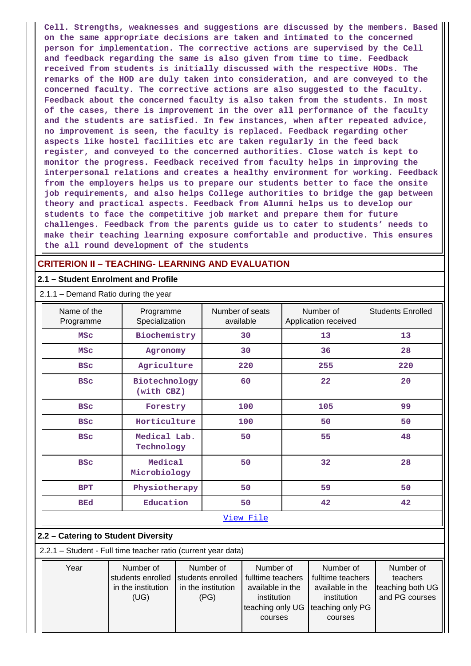**Cell. Strengths, weaknesses and suggestions are discussed by the members. Based on the same appropriate decisions are taken and intimated to the concerned person for implementation. The corrective actions are supervised by the Cell and feedback regarding the same is also given from time to time. Feedback received from students is initially discussed with the respective HODs. The remarks of the HOD are duly taken into consideration, and are conveyed to the concerned faculty. The corrective actions are also suggested to the faculty. Feedback about the concerned faculty is also taken from the students. In most of the cases, there is improvement in the over all performance of the faculty and the students are satisfied. In few instances, when after repeated advice, no improvement is seen, the faculty is replaced. Feedback regarding other aspects like hostel facilities etc are taken regularly in the feed back register, and conveyed to the concerned authorities. Close watch is kept to monitor the progress. Feedback received from faculty helps in improving the interpersonal relations and creates a healthy environment for working. Feedback from the employers helps us to prepare our students better to face the onsite job requirements, and also helps College authorities to bridge the gap between theory and practical aspects. Feedback from Alumni helps us to develop our students to face the competitive job market and prepare them for future challenges. Feedback from the parents guide us to cater to students' needs to make their teaching learning exposure comfortable and productive. This ensures the all round development of the students**

## **CRITERION II – TEACHING- LEARNING AND EVALUATION**

#### **2.1 – Student Enrolment and Profile**

### 2.1.1 – Demand Ratio during the year

| Name of the<br>Programme                                      | Programme<br>Specialization         |  | Number of seats<br>available |           |  | Number of<br>Application received |    | <b>Students Enrolled</b> |  |
|---------------------------------------------------------------|-------------------------------------|--|------------------------------|-----------|--|-----------------------------------|----|--------------------------|--|
| <b>MSC</b>                                                    | Biochemistry                        |  |                              |           |  | 13                                |    | 13                       |  |
| <b>MSC</b>                                                    | Agronomy                            |  |                              | 30        |  | 36                                |    | 28                       |  |
| <b>BSC</b>                                                    | Agriculture                         |  |                              | 220       |  | 255                               |    | 220                      |  |
| <b>BSC</b>                                                    | Biotechnology<br>(with CBZ)         |  |                              | 60        |  | 22                                |    | 20                       |  |
| <b>BSC</b>                                                    | Forestry                            |  |                              | 100       |  | 105                               |    | 99                       |  |
| <b>BSC</b>                                                    | Horticulture                        |  |                              | 100       |  | 50                                |    | 50                       |  |
| <b>BSC</b>                                                    | Medical Lab.<br>Technology          |  | 50                           |           |  | 55                                | 48 |                          |  |
| <b>BSC</b>                                                    | Medical<br>Microbiology             |  |                              | 50        |  | 32                                |    | 28                       |  |
| <b>BPT</b>                                                    | Physiotherapy                       |  |                              | 50        |  | 59                                |    | 50                       |  |
| <b>BEd</b>                                                    | Education                           |  |                              | 50        |  | 42                                |    | 42                       |  |
|                                                               |                                     |  |                              | View File |  |                                   |    |                          |  |
|                                                               | 2.2 - Catering to Student Diversity |  |                              |           |  |                                   |    |                          |  |
| 2.2.1 - Student - Full time teacher ratio (current year data) |                                     |  |                              |           |  |                                   |    |                          |  |
| Year                                                          | Number of                           |  | Number of                    | Number of |  | Number of                         |    | Number of                |  |

| Year | Number of<br>students enrolled<br>in the institution<br>(UG) | Number of<br>students enrolled<br>in the institution<br>(PG) | Number of<br>fulltime teachers<br>available in the<br>institution<br>teaching only UG Iteaching only PG<br>courses | Number of<br>fulltime teachers<br>available in the<br>institution<br>courses | Number of<br>teachers<br>teaching both UG<br>and PG courses |
|------|--------------------------------------------------------------|--------------------------------------------------------------|--------------------------------------------------------------------------------------------------------------------|------------------------------------------------------------------------------|-------------------------------------------------------------|
|      |                                                              |                                                              |                                                                                                                    |                                                                              |                                                             |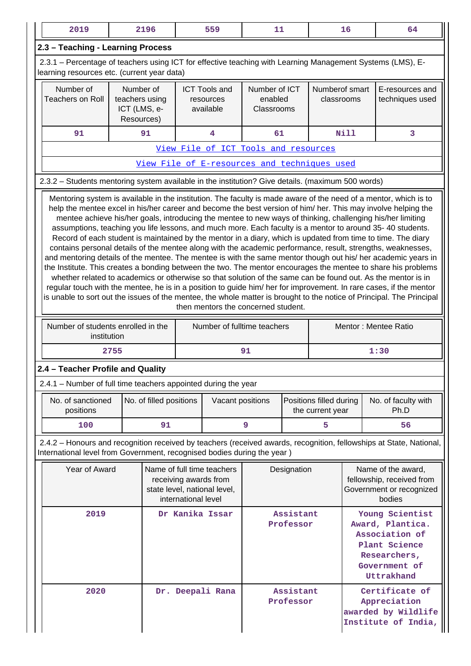| 2019                                                                                                                                                                                                                                                                                                                                                                                                                                                                                                                                                                                                                                                                                                                                                                                                                                                                                                                                                                                                                                                                                                                                                                                                                                                                                                                                |                                                                                                                                                                    | 2196                    |                     | 559                                                                                 | 11 |                        |                                             | 16          | 64                                                                                                                  |
|-------------------------------------------------------------------------------------------------------------------------------------------------------------------------------------------------------------------------------------------------------------------------------------------------------------------------------------------------------------------------------------------------------------------------------------------------------------------------------------------------------------------------------------------------------------------------------------------------------------------------------------------------------------------------------------------------------------------------------------------------------------------------------------------------------------------------------------------------------------------------------------------------------------------------------------------------------------------------------------------------------------------------------------------------------------------------------------------------------------------------------------------------------------------------------------------------------------------------------------------------------------------------------------------------------------------------------------|--------------------------------------------------------------------------------------------------------------------------------------------------------------------|-------------------------|---------------------|-------------------------------------------------------------------------------------|----|------------------------|---------------------------------------------|-------------|---------------------------------------------------------------------------------------------------------------------|
| 2.3 - Teaching - Learning Process                                                                                                                                                                                                                                                                                                                                                                                                                                                                                                                                                                                                                                                                                                                                                                                                                                                                                                                                                                                                                                                                                                                                                                                                                                                                                                   |                                                                                                                                                                    |                         |                     |                                                                                     |    |                        |                                             |             |                                                                                                                     |
| 2.3.1 – Percentage of teachers using ICT for effective teaching with Learning Management Systems (LMS), E-<br>learning resources etc. (current year data)                                                                                                                                                                                                                                                                                                                                                                                                                                                                                                                                                                                                                                                                                                                                                                                                                                                                                                                                                                                                                                                                                                                                                                           |                                                                                                                                                                    |                         |                     |                                                                                     |    |                        |                                             |             |                                                                                                                     |
| Number of<br>Number of<br>Number of ICT<br>Numberof smart<br><b>ICT Tools and</b><br>E-resources and<br><b>Teachers on Roll</b><br>enabled<br>teachers using<br>classrooms<br>techniques used<br>resources<br>ICT (LMS, e-<br>available<br>Classrooms<br>Resources)                                                                                                                                                                                                                                                                                                                                                                                                                                                                                                                                                                                                                                                                                                                                                                                                                                                                                                                                                                                                                                                                 |                                                                                                                                                                    |                         |                     |                                                                                     |    |                        |                                             |             |                                                                                                                     |
| 91                                                                                                                                                                                                                                                                                                                                                                                                                                                                                                                                                                                                                                                                                                                                                                                                                                                                                                                                                                                                                                                                                                                                                                                                                                                                                                                                  |                                                                                                                                                                    | 91                      |                     | 4                                                                                   | 61 |                        |                                             | <b>Nill</b> | 3                                                                                                                   |
|                                                                                                                                                                                                                                                                                                                                                                                                                                                                                                                                                                                                                                                                                                                                                                                                                                                                                                                                                                                                                                                                                                                                                                                                                                                                                                                                     |                                                                                                                                                                    |                         |                     | View File of ICT Tools and resources                                                |    |                        |                                             |             |                                                                                                                     |
|                                                                                                                                                                                                                                                                                                                                                                                                                                                                                                                                                                                                                                                                                                                                                                                                                                                                                                                                                                                                                                                                                                                                                                                                                                                                                                                                     |                                                                                                                                                                    |                         |                     | View File of E-resources and techniques used                                        |    |                        |                                             |             |                                                                                                                     |
| 2.3.2 - Students mentoring system available in the institution? Give details. (maximum 500 words)                                                                                                                                                                                                                                                                                                                                                                                                                                                                                                                                                                                                                                                                                                                                                                                                                                                                                                                                                                                                                                                                                                                                                                                                                                   |                                                                                                                                                                    |                         |                     |                                                                                     |    |                        |                                             |             |                                                                                                                     |
| Mentoring system is available in the institution. The faculty is made aware of the need of a mentor, which is to<br>help the mentee excel in his/her career and become the best version of him/ her. This may involve helping the<br>mentee achieve his/her goals, introducing the mentee to new ways of thinking, challenging his/her limiting<br>assumptions, teaching you life lessons, and much more. Each faculty is a mentor to around 35-40 students.<br>Record of each student is maintained by the mentor in a diary, which is updated from time to time. The diary<br>contains personal details of the mentee along with the academic performance, result, strengths, weaknesses,<br>and mentoring details of the mentee. The mentee is with the same mentor though out his/ her academic years in<br>the Institute. This creates a bonding between the two. The mentor encourages the mentee to share his problems<br>whether related to academics or otherwise so that solution of the same can be found out. As the mentor is in<br>regular touch with the mentee, he is in a position to guide him/ her for improvement. In rare cases, if the mentor<br>is unable to sort out the issues of the mentee, the whole matter is brought to the notice of Principal. The Principal<br>then mentors the concerned student. |                                                                                                                                                                    |                         |                     |                                                                                     |    |                        |                                             |             |                                                                                                                     |
| Number of students enrolled in the<br>institution                                                                                                                                                                                                                                                                                                                                                                                                                                                                                                                                                                                                                                                                                                                                                                                                                                                                                                                                                                                                                                                                                                                                                                                                                                                                                   |                                                                                                                                                                    |                         |                     | Number of fulltime teachers                                                         |    |                        |                                             |             | Mentor: Mentee Ratio                                                                                                |
|                                                                                                                                                                                                                                                                                                                                                                                                                                                                                                                                                                                                                                                                                                                                                                                                                                                                                                                                                                                                                                                                                                                                                                                                                                                                                                                                     | 2755                                                                                                                                                               |                         |                     |                                                                                     | 91 |                        |                                             |             | 1:30                                                                                                                |
| 2.4 - Teacher Profile and Quality                                                                                                                                                                                                                                                                                                                                                                                                                                                                                                                                                                                                                                                                                                                                                                                                                                                                                                                                                                                                                                                                                                                                                                                                                                                                                                   |                                                                                                                                                                    |                         |                     |                                                                                     |    |                        |                                             |             |                                                                                                                     |
| 2.4.1 - Number of full time teachers appointed during the year                                                                                                                                                                                                                                                                                                                                                                                                                                                                                                                                                                                                                                                                                                                                                                                                                                                                                                                                                                                                                                                                                                                                                                                                                                                                      |                                                                                                                                                                    |                         |                     |                                                                                     |    |                        |                                             |             |                                                                                                                     |
| No. of sanctioned<br>positions                                                                                                                                                                                                                                                                                                                                                                                                                                                                                                                                                                                                                                                                                                                                                                                                                                                                                                                                                                                                                                                                                                                                                                                                                                                                                                      |                                                                                                                                                                    | No. of filled positions |                     | Vacant positions                                                                    |    |                        | Positions filled during<br>the current year |             | No. of faculty with<br>Ph.D                                                                                         |
| 100                                                                                                                                                                                                                                                                                                                                                                                                                                                                                                                                                                                                                                                                                                                                                                                                                                                                                                                                                                                                                                                                                                                                                                                                                                                                                                                                 |                                                                                                                                                                    | 91                      |                     |                                                                                     | 9  |                        | 5                                           |             | 56                                                                                                                  |
| International level from Government, recognised bodies during the year)                                                                                                                                                                                                                                                                                                                                                                                                                                                                                                                                                                                                                                                                                                                                                                                                                                                                                                                                                                                                                                                                                                                                                                                                                                                             |                                                                                                                                                                    |                         |                     |                                                                                     |    |                        |                                             |             | 2.4.2 – Honours and recognition received by teachers (received awards, recognition, fellowships at State, National, |
| Year of Award                                                                                                                                                                                                                                                                                                                                                                                                                                                                                                                                                                                                                                                                                                                                                                                                                                                                                                                                                                                                                                                                                                                                                                                                                                                                                                                       |                                                                                                                                                                    |                         | international level | Name of full time teachers<br>receiving awards from<br>state level, national level, |    | Designation            |                                             |             | Name of the award,<br>fellowship, received from<br>Government or recognized<br>bodies                               |
| 2019                                                                                                                                                                                                                                                                                                                                                                                                                                                                                                                                                                                                                                                                                                                                                                                                                                                                                                                                                                                                                                                                                                                                                                                                                                                                                                                                | Dr Kanika Issar<br>Assistant<br>Young Scientist<br>Award, Plantica.<br>Professor<br>Association of<br>Plant Science<br>Researchers,<br>Government of<br>Uttrakhand |                         |                     |                                                                                     |    |                        |                                             |             |                                                                                                                     |
| 2020                                                                                                                                                                                                                                                                                                                                                                                                                                                                                                                                                                                                                                                                                                                                                                                                                                                                                                                                                                                                                                                                                                                                                                                                                                                                                                                                |                                                                                                                                                                    |                         |                     | Dr. Deepali Rana                                                                    |    | Assistant<br>Professor |                                             |             | Certificate of<br>Appreciation<br>awarded by Wildlife<br>Institute of India,                                        |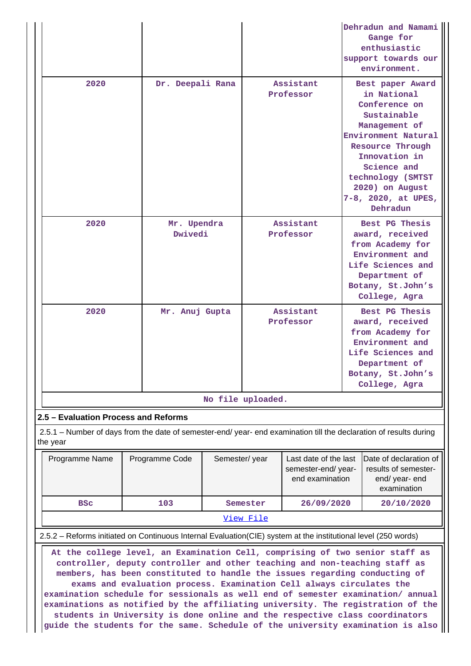|                                                                                                                                |                        |                        | Dehradun and Namami<br>Gange for<br>enthusiastic<br>support towards our<br>environment.                                                                                                                                                |  |
|--------------------------------------------------------------------------------------------------------------------------------|------------------------|------------------------|----------------------------------------------------------------------------------------------------------------------------------------------------------------------------------------------------------------------------------------|--|
| 2020                                                                                                                           | Dr. Deepali Rana       | Assistant<br>Professor | Best paper Award<br>in National<br>Conference on<br>Sustainable<br>Management of<br>Environment Natural<br>Resource Through<br>Innovation in<br>Science and<br>technology (SMTST<br>2020) on August<br>7-8, 2020, at UPES,<br>Dehradun |  |
| 2020                                                                                                                           | Mr. Upendra<br>Dwivedi | Assistant<br>Professor | Best PG Thesis<br>award, received<br>from Academy for<br>Environment and<br>Life Sciences and<br>Department of<br>Botany, St.John's<br>College, Agra                                                                                   |  |
| 2020                                                                                                                           | Mr. Anuj Gupta         | Assistant<br>Professor | Best PG Thesis<br>award, received<br>from Academy for<br>Environment and<br>Life Sciences and<br>Department of<br>Botany, St.John's<br>College, Agra                                                                                   |  |
|                                                                                                                                |                        | No file uploaded.      |                                                                                                                                                                                                                                        |  |
| 2.5 - Evaluation Process and Reforms                                                                                           |                        |                        |                                                                                                                                                                                                                                        |  |
| 2.5.1 – Number of days from the date of semester-end/ year- end examination till the declaration of results during<br>the year |                        |                        |                                                                                                                                                                                                                                        |  |

| Programme Name | Programme Code | Semester/year | Last date of the last<br>semester-end/year-<br>end examination | Date of declaration of<br>results of semester-<br>end/year-end<br>examination |
|----------------|----------------|---------------|----------------------------------------------------------------|-------------------------------------------------------------------------------|
| <b>BSC</b>     | 103            | Semester      | 26/09/2020                                                     | 20/10/2020                                                                    |
|                |                | View File     |                                                                |                                                                               |

#### 2.5.2 – Reforms initiated on Continuous Internal Evaluation(CIE) system at the institutional level (250 words)

 **At the college level, an Examination Cell, comprising of two senior staff as controller, deputy controller and other teaching and non-teaching staff as members, has been constituted to handle the issues regarding conducting of exams and evaluation process. Examination Cell always circulates the examination schedule for sessionals as well end of semester examination/ annual**

**examinations as notified by the affiliating university. The registration of the students in University is done online and the respective class coordinators guide the students for the same. Schedule of the university examination is also**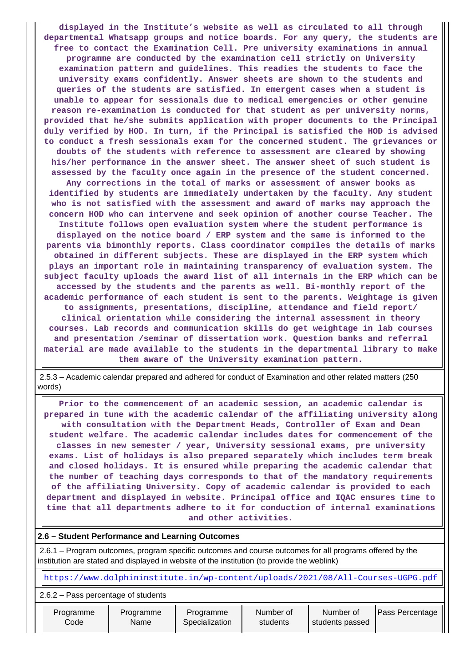**displayed in the Institute's website as well as circulated to all through departmental Whatsapp groups and notice boards. For any query, the students are free to contact the Examination Cell. Pre university examinations in annual programme are conducted by the examination cell strictly on University examination pattern and guidelines. This readies the students to face the university exams confidently. Answer sheets are shown to the students and queries of the students are satisfied. In emergent cases when a student is unable to appear for sessionals due to medical emergencies or other genuine reason re-examination is conducted for that student as per university norms, provided that he/she submits application with proper documents to the Principal duly verified by HOD. In turn, if the Principal is satisfied the HOD is advised to conduct a fresh sessionals exam for the concerned student. The grievances or doubts of the students with reference to assessment are cleared by showing his/her performance in the answer sheet. The answer sheet of such student is assessed by the faculty once again in the presence of the student concerned. Any corrections in the total of marks or assessment of answer books as identified by students are immediately undertaken by the faculty. Any student who is not satisfied with the assessment and award of marks may approach the concern HOD who can intervene and seek opinion of another course Teacher. The Institute follows open evaluation system where the student performance is displayed on the notice board / ERP system and the same is informed to the parents via bimonthly reports. Class coordinator compiles the details of marks obtained in different subjects. These are displayed in the ERP system which plays an important role in maintaining transparency of evaluation system. The subject faculty uploads the award list of all internals in the ERP which can be accessed by the students and the parents as well. Bi-monthly report of the academic performance of each student is sent to the parents. Weightage is given to assignments, presentations, discipline, attendance and field report/ clinical orientation while considering the internal assessment in theory courses. Lab records and communication skills do get weightage in lab courses and presentation /seminar of dissertation work. Question banks and referral material are made available to the students in the departmental library to make them aware of the University examination pattern.**

 2.5.3 – Academic calendar prepared and adhered for conduct of Examination and other related matters (250 words)

 **Prior to the commencement of an academic session, an academic calendar is prepared in tune with the academic calendar of the affiliating university along with consultation with the Department Heads, Controller of Exam and Dean student welfare. The academic calendar includes dates for commencement of the classes in new semester / year, University sessional exams, pre university exams. List of holidays is also prepared separately which includes term break and closed holidays. It is ensured while preparing the academic calendar that the number of teaching days corresponds to that of the mandatory requirements of the affiliating University. Copy of academic calendar is provided to each department and displayed in website. Principal office and IQAC ensures time to time that all departments adhere to it for conduction of internal examinations and other activities.**

#### **2.6 – Student Performance and Learning Outcomes**

 2.6.1 – Program outcomes, program specific outcomes and course outcomes for all programs offered by the institution are stated and displayed in website of the institution (to provide the weblink)

<https://www.dolphininstitute.in/wp-content/uploads/2021/08/All-Courses-UGPG.pdf>

2.6.2 – Pass percentage of students

 Programme Code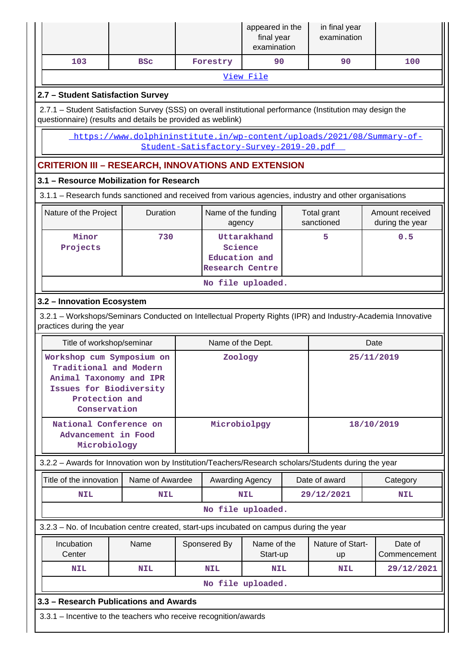|                                                                                                                                                                           |                                                                                                                                                    |  |                                                    | appeared in the<br>final year<br>examination |  | in final year<br>examination |      |                                    |  |  |  |
|---------------------------------------------------------------------------------------------------------------------------------------------------------------------------|----------------------------------------------------------------------------------------------------------------------------------------------------|--|----------------------------------------------------|----------------------------------------------|--|------------------------------|------|------------------------------------|--|--|--|
| 103                                                                                                                                                                       | <b>BSC</b>                                                                                                                                         |  | Forestry                                           | 90                                           |  | 90                           |      | 100                                |  |  |  |
| View File                                                                                                                                                                 |                                                                                                                                                    |  |                                                    |                                              |  |                              |      |                                    |  |  |  |
| 2.7 - Student Satisfaction Survey                                                                                                                                         |                                                                                                                                                    |  |                                                    |                                              |  |                              |      |                                    |  |  |  |
| 2.7.1 – Student Satisfaction Survey (SSS) on overall institutional performance (Institution may design the<br>questionnaire) (results and details be provided as weblink) |                                                                                                                                                    |  |                                                    |                                              |  |                              |      |                                    |  |  |  |
|                                                                                                                                                                           | https://www.dolphininstitute.in/wp-content/uploads/2021/08/Summary-of-<br>Student-Satisfactory-Survey-2019-20.pdf                                  |  |                                                    |                                              |  |                              |      |                                    |  |  |  |
|                                                                                                                                                                           | <b>CRITERION III - RESEARCH, INNOVATIONS AND EXTENSION</b>                                                                                         |  |                                                    |                                              |  |                              |      |                                    |  |  |  |
| 3.1 - Resource Mobilization for Research                                                                                                                                  |                                                                                                                                                    |  |                                                    |                                              |  |                              |      |                                    |  |  |  |
| 3.1.1 - Research funds sanctioned and received from various agencies, industry and other organisations                                                                    |                                                                                                                                                    |  |                                                    |                                              |  |                              |      |                                    |  |  |  |
| Nature of the Project                                                                                                                                                     | Duration                                                                                                                                           |  | Name of the funding<br>agency                      |                                              |  | Total grant<br>sanctioned    |      | Amount received<br>during the year |  |  |  |
| Minor<br>Projects                                                                                                                                                         | 730                                                                                                                                                |  | Science<br>Education and<br><b>Research Centre</b> | Uttarakhand                                  |  | 5                            |      | 0.5                                |  |  |  |
|                                                                                                                                                                           |                                                                                                                                                    |  |                                                    | No file uploaded.                            |  |                              |      |                                    |  |  |  |
| 3.2 - Innovation Ecosystem                                                                                                                                                |                                                                                                                                                    |  |                                                    |                                              |  |                              |      |                                    |  |  |  |
| 3.2.1 - Workshops/Seminars Conducted on Intellectual Property Rights (IPR) and Industry-Academia Innovative<br>practices during the year                                  |                                                                                                                                                    |  |                                                    |                                              |  |                              |      |                                    |  |  |  |
|                                                                                                                                                                           | Title of workshop/seminar                                                                                                                          |  | Name of the Dept.                                  |                                              |  |                              | Date |                                    |  |  |  |
|                                                                                                                                                                           | Workshop cum Symposium on<br>Traditional and Modern<br>Animal Taxonomy and IPR<br><b>Issues for Biodiversity</b><br>Protection and<br>Conservation |  | Zoology                                            |                                              |  |                              |      | 25/11/2019                         |  |  |  |
|                                                                                                                                                                           | National Conference on<br>Advancement in Food<br>Microbiology                                                                                      |  | Microbiolpgy                                       |                                              |  |                              |      | 18/10/2019                         |  |  |  |
| 3.2.2 - Awards for Innovation won by Institution/Teachers/Research scholars/Students during the year                                                                      |                                                                                                                                                    |  |                                                    |                                              |  |                              |      |                                    |  |  |  |
| Title of the innovation                                                                                                                                                   | Name of Awardee                                                                                                                                    |  | Awarding Agency                                    |                                              |  | Date of award                |      | Category                           |  |  |  |
| <b>NIL</b>                                                                                                                                                                | <b>NIL</b>                                                                                                                                         |  |                                                    | <b>NIL</b>                                   |  | 29/12/2021                   |      | <b>NIL</b>                         |  |  |  |
|                                                                                                                                                                           |                                                                                                                                                    |  |                                                    | No file uploaded.                            |  |                              |      |                                    |  |  |  |
| 3.2.3 – No. of Incubation centre created, start-ups incubated on campus during the year                                                                                   |                                                                                                                                                    |  |                                                    |                                              |  |                              |      |                                    |  |  |  |
| Incubation<br>Center                                                                                                                                                      | Name                                                                                                                                               |  | Sponsered By                                       | Name of the<br>Start-up                      |  | Nature of Start-<br>up       |      | Date of<br>Commencement            |  |  |  |
| <b>NIL</b>                                                                                                                                                                | <b>NIL</b>                                                                                                                                         |  | <b>NIL</b>                                         | <b>NIL</b>                                   |  | NIL                          |      | 29/12/2021                         |  |  |  |
|                                                                                                                                                                           | No file uploaded.                                                                                                                                  |  |                                                    |                                              |  |                              |      |                                    |  |  |  |
| 3.3 - Research Publications and Awards                                                                                                                                    |                                                                                                                                                    |  |                                                    |                                              |  |                              |      |                                    |  |  |  |
|                                                                                                                                                                           | 3.3.1 – Incentive to the teachers who receive recognition/awards                                                                                   |  |                                                    |                                              |  |                              |      |                                    |  |  |  |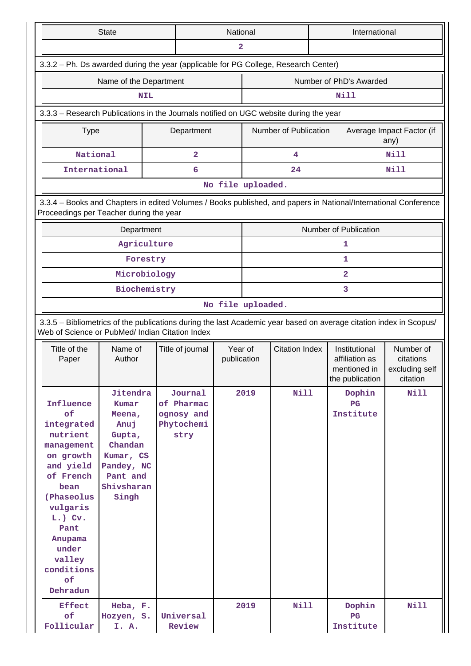|                                                                                                                                                                                                                        | <b>State</b>                                                                                                                                                          |  |                                                           |                        | National<br>International |                       |  |                                                                    |                                                      |
|------------------------------------------------------------------------------------------------------------------------------------------------------------------------------------------------------------------------|-----------------------------------------------------------------------------------------------------------------------------------------------------------------------|--|-----------------------------------------------------------|------------------------|---------------------------|-----------------------|--|--------------------------------------------------------------------|------------------------------------------------------|
|                                                                                                                                                                                                                        |                                                                                                                                                                       |  |                                                           | $\overline{a}$         |                           |                       |  |                                                                    |                                                      |
|                                                                                                                                                                                                                        | 3.3.2 - Ph. Ds awarded during the year (applicable for PG College, Research Center)                                                                                   |  |                                                           |                        |                           |                       |  |                                                                    |                                                      |
|                                                                                                                                                                                                                        | Name of the Department                                                                                                                                                |  |                                                           |                        |                           |                       |  | Number of PhD's Awarded                                            |                                                      |
|                                                                                                                                                                                                                        | <b>NIL</b>                                                                                                                                                            |  |                                                           |                        | Nill                      |                       |  |                                                                    |                                                      |
|                                                                                                                                                                                                                        | 3.3.3 - Research Publications in the Journals notified on UGC website during the year                                                                                 |  |                                                           |                        |                           |                       |  |                                                                    |                                                      |
| <b>Type</b>                                                                                                                                                                                                            |                                                                                                                                                                       |  | Department                                                |                        |                           | Number of Publication |  | Average Impact Factor (if<br>any)                                  |                                                      |
| National                                                                                                                                                                                                               |                                                                                                                                                                       |  | 2                                                         |                        |                           | 4                     |  |                                                                    | <b>Nill</b>                                          |
| International                                                                                                                                                                                                          |                                                                                                                                                                       |  | 6                                                         |                        |                           | 24                    |  |                                                                    | <b>Nill</b>                                          |
|                                                                                                                                                                                                                        |                                                                                                                                                                       |  |                                                           |                        | No file uploaded.         |                       |  |                                                                    |                                                      |
| 3.3.4 - Books and Chapters in edited Volumes / Books published, and papers in National/International Conference<br>Proceedings per Teacher during the year                                                             |                                                                                                                                                                       |  |                                                           |                        |                           |                       |  |                                                                    |                                                      |
|                                                                                                                                                                                                                        |                                                                                                                                                                       |  |                                                           |                        | Number of Publication     |                       |  |                                                                    |                                                      |
| Agriculture                                                                                                                                                                                                            |                                                                                                                                                                       |  |                                                           |                        |                           |                       |  | 1                                                                  |                                                      |
| Forestry                                                                                                                                                                                                               |                                                                                                                                                                       |  |                                                           |                        |                           |                       |  | 1                                                                  |                                                      |
| Microbiology                                                                                                                                                                                                           |                                                                                                                                                                       |  |                                                           |                        | $\overline{2}$            |                       |  |                                                                    |                                                      |
| Biochemistry                                                                                                                                                                                                           |                                                                                                                                                                       |  |                                                           |                        |                           |                       |  | 3                                                                  |                                                      |
| No file uploaded.                                                                                                                                                                                                      |                                                                                                                                                                       |  |                                                           |                        |                           |                       |  |                                                                    |                                                      |
|                                                                                                                                                                                                                        | 3.3.5 - Bibliometrics of the publications during the last Academic year based on average citation index in Scopus/<br>Web of Science or PubMed/ Indian Citation Index |  |                                                           |                        |                           |                       |  |                                                                    |                                                      |
| Title of the<br>Paper                                                                                                                                                                                                  | Name of<br>Author                                                                                                                                                     |  | Title of journal                                          | Year of<br>publication |                           | <b>Citation Index</b> |  | Institutional<br>affiliation as<br>mentioned in<br>the publication | Number of<br>citations<br>excluding self<br>citation |
| Influence<br>of<br>integrated<br>nutrient<br>management<br>on growth<br>and yield<br>of French<br>bean<br>(Phaseolus<br>vulgaris<br>$L.$ ) $Cv.$<br>Pant<br>Anupama<br>under<br>valley<br>conditions<br>of<br>Dehradun | Jitendra<br>Kumar<br>Meena,<br>Anuj<br>Gupta,<br>Chandan<br>Kumar, CS<br>Pandey, NC<br>Pant and<br>Shivsharan<br>Singh                                                |  | Journal<br>of Pharmac<br>ognosy and<br>Phytochemi<br>stry |                        | 2019                      | <b>Nill</b>           |  | Dophin<br>$_{\rm PG}$<br>Institute                                 | Nill                                                 |
| <b>Effect</b><br>of<br>Follicular                                                                                                                                                                                      | Heba, F.<br>Hozyen, S.<br>I. A.                                                                                                                                       |  | Universal<br>Review                                       |                        | 2019                      | <b>Nill</b>           |  | Dophin<br>$_{PG}$<br>Institute                                     | Nill                                                 |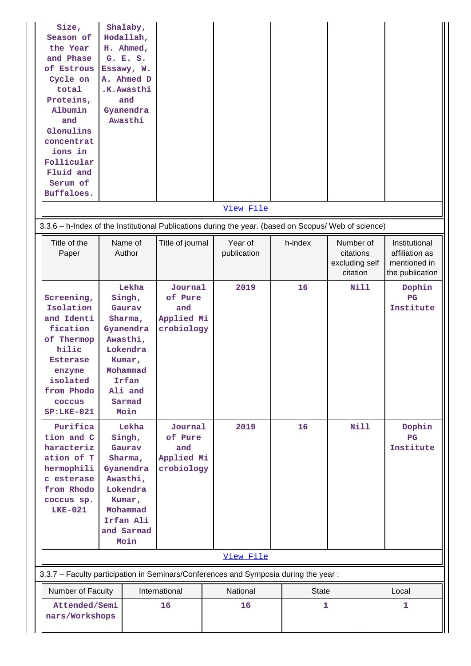| Size,<br>Season of<br>the Year<br>and Phase<br>of Estrous<br>Cycle on<br>total<br>Proteins,<br>Albumin<br>and<br>Glonulins<br>concentrat<br>ions in<br>Follicular<br>Fluid and<br>Serum of<br>Buffaloes. | Shalaby,<br>Hodallah,<br>H. Ahmed,<br>G. E. S.<br>Essawy, W.<br>A. Ahmed D<br>.K. Awasthi<br>and<br>Gyanendra<br>Awasthi              |                                                       | View File<br>3.3.6 - h-Index of the Institutional Publications during the year. (based on Scopus/ Web of science) |              |                                                      |                                                                    |
|----------------------------------------------------------------------------------------------------------------------------------------------------------------------------------------------------------|---------------------------------------------------------------------------------------------------------------------------------------|-------------------------------------------------------|-------------------------------------------------------------------------------------------------------------------|--------------|------------------------------------------------------|--------------------------------------------------------------------|
|                                                                                                                                                                                                          |                                                                                                                                       |                                                       |                                                                                                                   |              |                                                      |                                                                    |
| Title of the<br>Paper                                                                                                                                                                                    | Name of<br>Author                                                                                                                     | Title of journal                                      | Year of<br>publication                                                                                            | h-index      | Number of<br>citations<br>excluding self<br>citation | Institutional<br>affiliation as<br>mentioned in<br>the publication |
| Screening,<br>Isolation<br>and Identi<br>fication<br>of Thermop<br>hilic<br><b>Esterase</b><br>enzyme<br>isolated<br>from Phodo<br>coccus<br>$SP: LKE-021$                                               | Lekha<br>Singh,<br>Gaurav<br>Sharma,<br>Gyanendra<br>Awasthi,<br>Lokendra<br>Kumar,<br>Mohammad<br>Irfan<br>Ali and<br>Sarmad<br>Moin | Journal<br>of Pure<br>and<br>Applied Mi<br>crobiology | 2019                                                                                                              | 16           | Nill                                                 | Dophin<br>$_{\rm PG}$<br>Institute                                 |
| Purifica<br>tion and C<br>haracteriz<br>ation of T<br>hermophili<br>c esterase<br>from Rhodo<br>coccus sp.<br><b>LKE-021</b>                                                                             | Lekha<br>Singh,<br>Gaurav<br>Sharma,<br>Gyanendra<br>Awasthi,<br>Lokendra<br>Kumar,<br>Mohammad<br>Irfan Ali<br>and Sarmad<br>Moin    | Journal<br>of Pure<br>and<br>Applied Mi<br>crobiology | 2019                                                                                                              | 16           | Nill                                                 | Dophin<br>$_{\rm PG}$<br>Institute                                 |
|                                                                                                                                                                                                          |                                                                                                                                       |                                                       | View File                                                                                                         |              |                                                      |                                                                    |
|                                                                                                                                                                                                          |                                                                                                                                       |                                                       | 3.3.7 - Faculty participation in Seminars/Conferences and Symposia during the year:                               |              |                                                      |                                                                    |
| Number of Faculty                                                                                                                                                                                        |                                                                                                                                       | International                                         | National                                                                                                          | <b>State</b> |                                                      | Local                                                              |
| Attended/Semi<br>nars/Workshops                                                                                                                                                                          |                                                                                                                                       | 16                                                    | 16                                                                                                                | 1            |                                                      | 1                                                                  |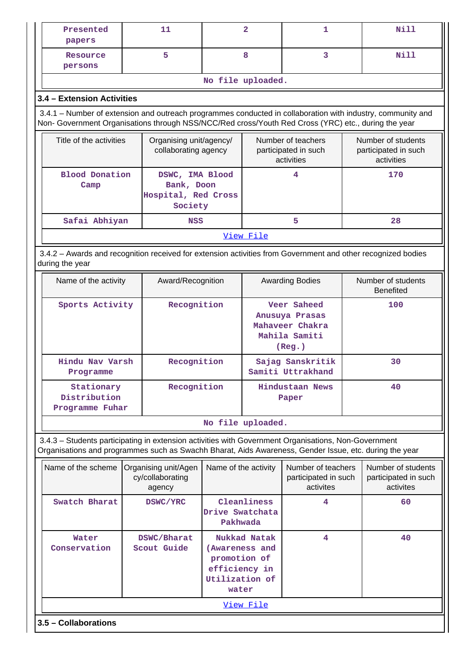| Presented<br>papers                                                                                                                                                                                                | 11                                                 |                                                                 | $\mathbf{2}$                                                                                            | 1                                                                           | Nill                                                     |                                                         |  |
|--------------------------------------------------------------------------------------------------------------------------------------------------------------------------------------------------------------------|----------------------------------------------------|-----------------------------------------------------------------|---------------------------------------------------------------------------------------------------------|-----------------------------------------------------------------------------|----------------------------------------------------------|---------------------------------------------------------|--|
| Resource<br>persons                                                                                                                                                                                                | 5                                                  |                                                                 | 8                                                                                                       | 3                                                                           |                                                          | N11                                                     |  |
|                                                                                                                                                                                                                    |                                                    |                                                                 | No file uploaded.                                                                                       |                                                                             |                                                          |                                                         |  |
| 3.4 - Extension Activities                                                                                                                                                                                         |                                                    |                                                                 |                                                                                                         |                                                                             |                                                          |                                                         |  |
| 3.4.1 – Number of extension and outreach programmes conducted in collaboration with industry, community and<br>Non- Government Organisations through NSS/NCC/Red cross/Youth Red Cross (YRC) etc., during the year |                                                    |                                                                 |                                                                                                         |                                                                             |                                                          |                                                         |  |
| Title of the activities                                                                                                                                                                                            |                                                    | Organising unit/agency/<br>collaborating agency                 |                                                                                                         | Number of teachers<br>participated in such<br>activities                    | Number of students<br>participated in such<br>activities |                                                         |  |
| <b>Blood Donation</b><br>Camp                                                                                                                                                                                      |                                                    | DSWC, IMA Blood<br>Bank, Doon<br>Hospital, Red Cross<br>Society |                                                                                                         | 4                                                                           |                                                          | 170                                                     |  |
| Safai Abhiyan                                                                                                                                                                                                      |                                                    | 5.<br><b>NSS</b>                                                |                                                                                                         |                                                                             |                                                          | 28                                                      |  |
|                                                                                                                                                                                                                    |                                                    |                                                                 | View File                                                                                               |                                                                             |                                                          |                                                         |  |
| 3.4.2 - Awards and recognition received for extension activities from Government and other recognized bodies<br>during the year                                                                                    |                                                    |                                                                 |                                                                                                         |                                                                             |                                                          |                                                         |  |
| Name of the activity                                                                                                                                                                                               |                                                    | Award/Recognition                                               |                                                                                                         | <b>Awarding Bodies</b>                                                      | Number of students<br><b>Benefited</b>                   |                                                         |  |
| Sports Activity                                                                                                                                                                                                    |                                                    | Recognition                                                     |                                                                                                         | Veer Saheed<br>Anusuya Prasas<br>Mahaveer Chakra<br>Mahila Samiti<br>(Reg.) |                                                          | 100                                                     |  |
| Hindu Nav Varsh<br>Programme                                                                                                                                                                                       |                                                    | Recognition                                                     |                                                                                                         | Sajag Sanskritik<br>Samiti Uttrakhand                                       |                                                          | 30                                                      |  |
| Stationary<br>Distribution<br>Programme Fuhar                                                                                                                                                                      |                                                    | Recognition                                                     |                                                                                                         | <b>Hindustaan News</b><br>Paper                                             |                                                          | 40                                                      |  |
|                                                                                                                                                                                                                    |                                                    |                                                                 | No file uploaded.                                                                                       |                                                                             |                                                          |                                                         |  |
| 3.4.3 - Students participating in extension activities with Government Organisations, Non-Government<br>Organisations and programmes such as Swachh Bharat, Aids Awareness, Gender Issue, etc. during the year     |                                                    |                                                                 |                                                                                                         |                                                                             |                                                          |                                                         |  |
| Name of the scheme                                                                                                                                                                                                 | Organising unit/Agen<br>cy/collaborating<br>agency | Name of the activity                                            |                                                                                                         | Number of teachers<br>participated in such<br>activites                     |                                                          | Number of students<br>participated in such<br>activites |  |
| Swatch Bharat                                                                                                                                                                                                      | DSWC/YRC                                           | Drive Swatchata<br>Pakhwada                                     | Cleanliness                                                                                             | 4                                                                           |                                                          | 60                                                      |  |
| Water<br>Conservation                                                                                                                                                                                              | DSWC/Bharat<br>Scout Guide                         |                                                                 | Nukkad Natak<br>(Awareness and<br>promotion of<br>efficiency in<br>Utilization of<br>water<br>View File | 4                                                                           |                                                          | 40                                                      |  |

**3.5 – Collaborations**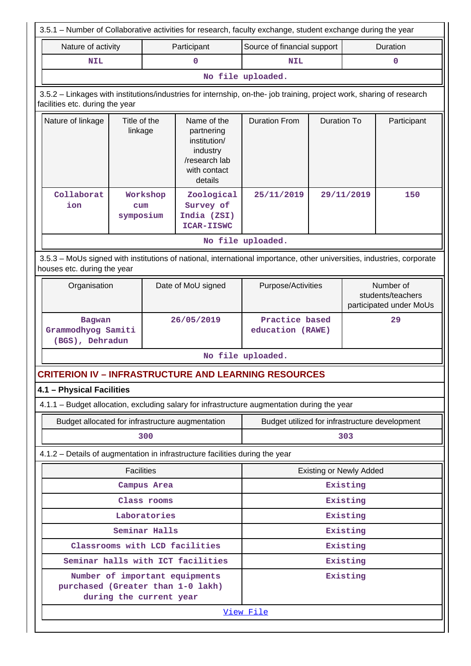| 3.5.1 – Number of Collaborative activities for research, faculty exchange, student exchange during the year                                              |                              |                                                                                                                              |                                                                     |                                                |                    |                                                           |             |  |
|----------------------------------------------------------------------------------------------------------------------------------------------------------|------------------------------|------------------------------------------------------------------------------------------------------------------------------|---------------------------------------------------------------------|------------------------------------------------|--------------------|-----------------------------------------------------------|-------------|--|
| Nature of activity                                                                                                                                       |                              |                                                                                                                              | Participant                                                         | Source of financial support                    |                    |                                                           | Duration    |  |
| <b>NIL</b>                                                                                                                                               |                              |                                                                                                                              | 0                                                                   | <b>NIL</b>                                     |                    |                                                           | $\mathbf 0$ |  |
|                                                                                                                                                          |                              |                                                                                                                              |                                                                     | No file uploaded.                              |                    |                                                           |             |  |
| 3.5.2 - Linkages with institutions/industries for internship, on-the- job training, project work, sharing of research<br>facilities etc. during the year |                              |                                                                                                                              |                                                                     |                                                |                    |                                                           |             |  |
| Nature of linkage                                                                                                                                        |                              | Title of the<br>Name of the<br>linkage<br>partnering<br>institution/<br>industry<br>/research lab<br>with contact<br>details |                                                                     | <b>Duration From</b>                           | <b>Duration To</b> |                                                           | Participant |  |
| Collaborat<br>ion                                                                                                                                        | Workshop<br>cum<br>symposium |                                                                                                                              | Zoological<br>Survey of<br>India (ZSI)                              | 25/11/2019                                     | 29/11/2019         |                                                           | 150         |  |
|                                                                                                                                                          |                              |                                                                                                                              | ICAR-IISWC                                                          |                                                |                    |                                                           |             |  |
| No file uploaded.                                                                                                                                        |                              |                                                                                                                              |                                                                     |                                                |                    |                                                           |             |  |
| 3.5.3 - MoUs signed with institutions of national, international importance, other universities, industries, corporate<br>houses etc. during the year    |                              |                                                                                                                              |                                                                     |                                                |                    |                                                           |             |  |
| Organisation                                                                                                                                             |                              | Date of MoU signed                                                                                                           |                                                                     | Purpose/Activities                             |                    | Number of<br>students/teachers<br>participated under MoUs |             |  |
| <b>Bagwan</b><br>Grammodhyog Samiti<br>(BGS), Dehradun                                                                                                   |                              | 26/05/2019                                                                                                                   |                                                                     | Practice based<br>education (RAWE)             |                    |                                                           | 29          |  |
|                                                                                                                                                          |                              |                                                                                                                              |                                                                     | No file uploaded.                              |                    |                                                           |             |  |
| <b>CRITERION IV – INFRASTRUCTURE AND LEARNING RESOURCES</b>                                                                                              |                              |                                                                                                                              |                                                                     |                                                |                    |                                                           |             |  |
| 4.1 - Physical Facilities                                                                                                                                |                              |                                                                                                                              |                                                                     |                                                |                    |                                                           |             |  |
| 4.1.1 - Budget allocation, excluding salary for infrastructure augmentation during the year                                                              |                              |                                                                                                                              |                                                                     |                                                |                    |                                                           |             |  |
| Budget allocated for infrastructure augmentation                                                                                                         |                              |                                                                                                                              |                                                                     | Budget utilized for infrastructure development |                    |                                                           |             |  |
|                                                                                                                                                          |                              | 300                                                                                                                          |                                                                     |                                                |                    | 303                                                       |             |  |
| 4.1.2 - Details of augmentation in infrastructure facilities during the year                                                                             |                              |                                                                                                                              |                                                                     |                                                |                    |                                                           |             |  |
|                                                                                                                                                          | <b>Facilities</b>            |                                                                                                                              |                                                                     |                                                |                    | <b>Existing or Newly Added</b>                            |             |  |
|                                                                                                                                                          |                              | Campus Area                                                                                                                  |                                                                     |                                                |                    | Existing                                                  |             |  |
|                                                                                                                                                          |                              | Class rooms                                                                                                                  |                                                                     |                                                |                    | Existing                                                  |             |  |
|                                                                                                                                                          |                              | Laboratories                                                                                                                 |                                                                     |                                                |                    | Existing                                                  |             |  |
|                                                                                                                                                          |                              | Seminar Halls                                                                                                                |                                                                     |                                                |                    | Existing                                                  |             |  |
|                                                                                                                                                          |                              |                                                                                                                              | Classrooms with LCD facilities                                      |                                                |                    | Existing                                                  |             |  |
| purchased (Greater than 1-0 lakh)                                                                                                                        | during the current year      |                                                                                                                              | Seminar halls with ICT facilities<br>Number of important equipments |                                                |                    | Existing<br>Existing                                      |             |  |
|                                                                                                                                                          |                              |                                                                                                                              |                                                                     | View File                                      |                    |                                                           |             |  |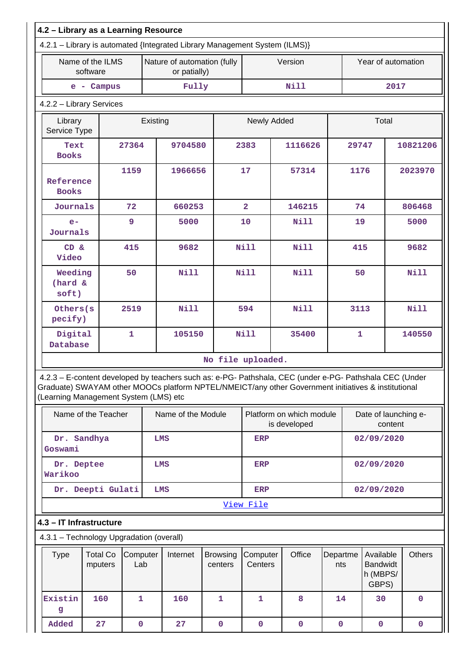| 4.2 - Library as a Learning Resource                                                                                                                                                                                                                    |                                                                               |          |                                             |                         |                   |                                          |              |                                 |
|---------------------------------------------------------------------------------------------------------------------------------------------------------------------------------------------------------------------------------------------------------|-------------------------------------------------------------------------------|----------|---------------------------------------------|-------------------------|-------------------|------------------------------------------|--------------|---------------------------------|
| 4.2.1 - Library is automated {Integrated Library Management System (ILMS)}                                                                                                                                                                              |                                                                               |          |                                             |                         |                   |                                          |              |                                 |
| Name of the ILMS<br>software                                                                                                                                                                                                                            |                                                                               |          | Nature of automation (fully<br>or patially) |                         |                   | Version                                  |              | Year of automation              |
| e - Campus                                                                                                                                                                                                                                              |                                                                               | Fully    |                                             | <b>Nill</b>             |                   |                                          | 2017         |                                 |
| 4.2.2 - Library Services                                                                                                                                                                                                                                |                                                                               |          |                                             |                         |                   |                                          |              |                                 |
| Library<br>Service Type                                                                                                                                                                                                                                 |                                                                               | Existing |                                             |                         | Newly Added       |                                          | Total        |                                 |
| Text<br><b>Books</b>                                                                                                                                                                                                                                    | 27364                                                                         |          | 9704580                                     |                         | 2383              | 1116626                                  | 29747        | 10821206                        |
| Reference<br><b>Books</b>                                                                                                                                                                                                                               | 1159                                                                          |          | 1966656                                     |                         | 17                | 57314                                    | 1176         | 2023970                         |
| Journals                                                                                                                                                                                                                                                | 660253<br>72<br>9<br>5000<br>$e-$<br>Journals<br>9682<br>CD &<br>415<br>Video |          |                                             | $\overline{\mathbf{2}}$ | 146215            | 74                                       | 806468       |                                 |
|                                                                                                                                                                                                                                                         |                                                                               |          |                                             | 10                      | Nill              | 19                                       | 5000         |                                 |
|                                                                                                                                                                                                                                                         |                                                                               |          |                                             | Nill                    | Nill              | 415                                      | 9682         |                                 |
| Weeding<br>(hard &<br>soft)                                                                                                                                                                                                                             | 50                                                                            |          | <b>Nill</b>                                 |                         | <b>Nill</b>       | <b>Nill</b>                              | 50           | Nill                            |
| Others(s<br>pecify)                                                                                                                                                                                                                                     | 2519                                                                          |          | Nill                                        |                         | 594               | Nill                                     | 3113         | Nill                            |
| Digital<br>Database                                                                                                                                                                                                                                     | $\mathbf{1}$                                                                  |          | 105150                                      |                         | <b>Nill</b>       | 35400                                    | $\mathbf{1}$ | 140550                          |
|                                                                                                                                                                                                                                                         |                                                                               |          |                                             |                         | No file uploaded. |                                          |              |                                 |
| 4.2.3 - E-content developed by teachers such as: e-PG- Pathshala, CEC (under e-PG- Pathshala CEC (Under<br>Graduate) SWAYAM other MOOCs platform NPTEL/NMEICT/any other Government initiatives & institutional<br>(Learning Management System (LMS) etc |                                                                               |          |                                             |                         |                   |                                          |              |                                 |
| Name of the Teacher                                                                                                                                                                                                                                     |                                                                               |          | Name of the Module                          |                         |                   | Platform on which module<br>is developed |              | Date of launching e-<br>content |
| Dr. Sandhya<br>Goswami                                                                                                                                                                                                                                  |                                                                               | LMS      |                                             |                         | ERP               |                                          | 02/09/2020   |                                 |
| LMS<br>Dr. Deptee<br>Warikoo                                                                                                                                                                                                                            |                                                                               |          | <b>ERP</b>                                  |                         |                   | 02/09/2020                               |              |                                 |

[View File](https://assessmentonline.naac.gov.in/public/Postacc/e-content_by_teachers/12472_e-content_by_teachers_1630074735.xls)

**Dr. Deepti Gulati** LMS ERP 02/09/2020

## **4.3 – IT Infrastructure**

4.3.1 – Technology Upgradation (overall)

| <b>Type</b>  | mputers | Total Co Computer<br>Lab | Internet | <b>Browsing Computer</b><br>centers | Centers | Office | Departme<br>nts | Available<br><b>Bandwidt</b><br>h (MBPS/<br>GBPS) | <b>Others</b> |
|--------------|---------|--------------------------|----------|-------------------------------------|---------|--------|-----------------|---------------------------------------------------|---------------|
| Existin<br>g | 160     |                          | 160      |                                     |         | 8      | 14              | 30                                                | 0             |
| Added        | 27      | 0                        | 27       | 0                                   | 0       | 0      | 0               | 0                                                 |               |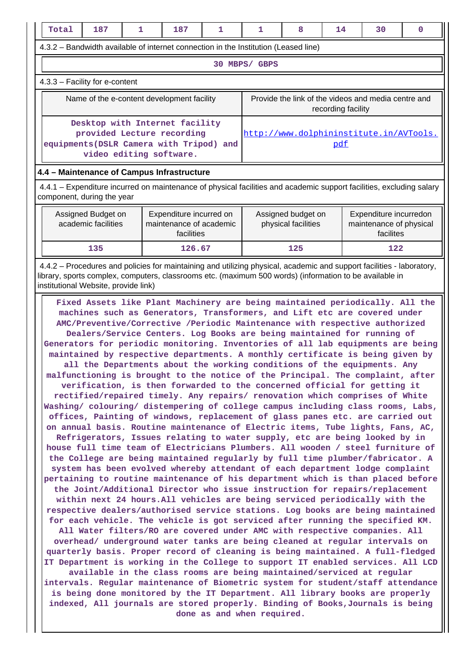| Total                                                                               | 187 |                                                                                                                                     | 187 |                                         |  | 8                  | 14                                                  | 30 | 0 |  |  |
|-------------------------------------------------------------------------------------|-----|-------------------------------------------------------------------------------------------------------------------------------------|-----|-----------------------------------------|--|--------------------|-----------------------------------------------------|----|---|--|--|
| 4.3.2 – Bandwidth available of internet connection in the Institution (Leased line) |     |                                                                                                                                     |     |                                         |  |                    |                                                     |    |   |  |  |
| MBPS/ GBPS<br>30.                                                                   |     |                                                                                                                                     |     |                                         |  |                    |                                                     |    |   |  |  |
| 4.3.3 - Facility for e-content                                                      |     |                                                                                                                                     |     |                                         |  |                    |                                                     |    |   |  |  |
|                                                                                     |     | Name of the e-content development facility                                                                                          |     |                                         |  | recording facility | Provide the link of the videos and media centre and |    |   |  |  |
|                                                                                     |     | Desktop with Internet facility<br>provided Lecture recording<br>equipments (DSLR Camera with Tripod) and<br>video editing software. |     | http://www.dolphininstitute.in/AVTools. |  | pdf                |                                                     |    |   |  |  |

#### **4.4 – Maintenance of Campus Infrastructure**

 4.4.1 – Expenditure incurred on maintenance of physical facilities and academic support facilities, excluding salary component, during the year

| Assigned Budget on<br>academic facilities | Expenditure incurred on<br>maintenance of academic<br>facilities | Assigned budget on<br>physical facilities | Expenditure incurredon<br>maintenance of physical<br>facilites |
|-------------------------------------------|------------------------------------------------------------------|-------------------------------------------|----------------------------------------------------------------|
| 135                                       | 126.67                                                           | 125                                       | 122                                                            |

 4.4.2 – Procedures and policies for maintaining and utilizing physical, academic and support facilities - laboratory, library, sports complex, computers, classrooms etc. (maximum 500 words) (information to be available in institutional Website, provide link)

 **Fixed Assets like Plant Machinery are being maintained periodically. All the machines such as Generators, Transformers, and Lift etc are covered under AMC/Preventive/Corrective /Periodic Maintenance with respective authorized Dealers/Service Centers. Log Books are being maintained for running of Generators for periodic monitoring. Inventories of all lab equipments are being maintained by respective departments. A monthly certificate is being given by all the Departments about the working conditions of the equipments. Any malfunctioning is brought to the notice of the Principal. The complaint, after verification, is then forwarded to the concerned official for getting it rectified/repaired timely. Any repairs/ renovation which comprises of White Washing/ colouring/ distempering of college campus including class rooms, Labs, offices, Painting of windows, replacement of glass panes etc. are carried out on annual basis. Routine maintenance of Electric items, Tube lights, Fans, AC, Refrigerators, Issues relating to water supply, etc are being looked by in house full time team of Electricians Plumbers. All wooden / steel furniture of the College are being maintained regularly by full time plumber/fabricator. A system has been evolved whereby attendant of each department lodge complaint pertaining to routine maintenance of his department which is than placed before the Joint/Additional Director who issue instruction for repairs/replacement within next 24 hours.All vehicles are being serviced periodically with the respective dealers/authorised service stations. Log books are being maintained for each vehicle. The vehicle is got serviced after running the specified KM. All Water filters/RO are covered under AMC with respective companies. All overhead/ underground water tanks are being cleaned at regular intervals on quarterly basis. Proper record of cleaning is being maintained. A full-fledged IT Department is working in the College to support IT enabled services. All LCD available in the class rooms are being maintained/serviced at regular intervals. Regular maintenance of Biometric system for student/staff attendance is being done monitored by the IT Department. All library books are properly indexed, All journals are stored properly. Binding of Books,Journals is being done as and when required.**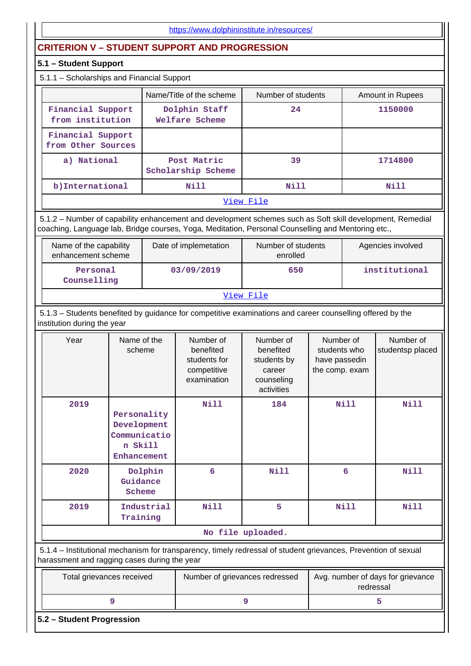| Amount in Rupees<br>1150000<br>1714800<br><b>Nill</b>                                                                                                                                                           |  |  |  |  |  |  |
|-----------------------------------------------------------------------------------------------------------------------------------------------------------------------------------------------------------------|--|--|--|--|--|--|
|                                                                                                                                                                                                                 |  |  |  |  |  |  |
|                                                                                                                                                                                                                 |  |  |  |  |  |  |
|                                                                                                                                                                                                                 |  |  |  |  |  |  |
|                                                                                                                                                                                                                 |  |  |  |  |  |  |
|                                                                                                                                                                                                                 |  |  |  |  |  |  |
|                                                                                                                                                                                                                 |  |  |  |  |  |  |
|                                                                                                                                                                                                                 |  |  |  |  |  |  |
|                                                                                                                                                                                                                 |  |  |  |  |  |  |
|                                                                                                                                                                                                                 |  |  |  |  |  |  |
| 5.1.2 - Number of capability enhancement and development schemes such as Soft skill development, Remedial<br>coaching, Language lab, Bridge courses, Yoga, Meditation, Personal Counselling and Mentoring etc., |  |  |  |  |  |  |
| Agencies involved                                                                                                                                                                                               |  |  |  |  |  |  |
| institutional                                                                                                                                                                                                   |  |  |  |  |  |  |
| View File                                                                                                                                                                                                       |  |  |  |  |  |  |
| 5.1.3 - Students benefited by guidance for competitive examinations and career counselling offered by the                                                                                                       |  |  |  |  |  |  |
| Number of<br>Number of<br>studentsp placed<br>students who<br>have passedin<br>the comp. exam                                                                                                                   |  |  |  |  |  |  |
| <b>Nill</b>                                                                                                                                                                                                     |  |  |  |  |  |  |
| <b>Nill</b>                                                                                                                                                                                                     |  |  |  |  |  |  |
| <b>Nill</b>                                                                                                                                                                                                     |  |  |  |  |  |  |
|                                                                                                                                                                                                                 |  |  |  |  |  |  |
| 5.1.4 - Institutional mechanism for transparency, timely redressal of student grievances, Prevention of sexual                                                                                                  |  |  |  |  |  |  |
| Avg. number of days for grievance<br>redressal                                                                                                                                                                  |  |  |  |  |  |  |
| 5                                                                                                                                                                                                               |  |  |  |  |  |  |
|                                                                                                                                                                                                                 |  |  |  |  |  |  |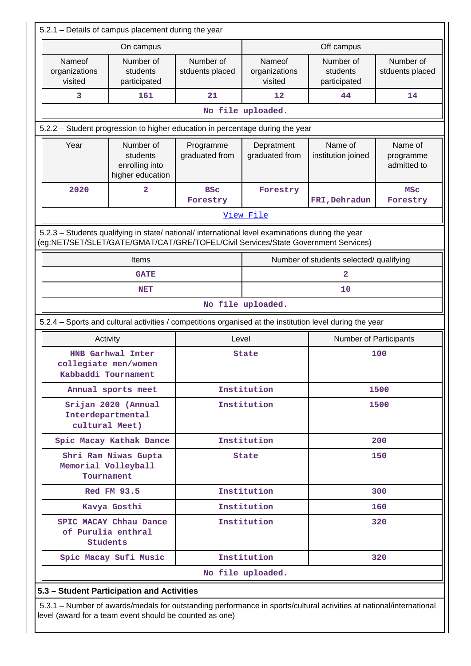| 5.2.1 - Details of campus placement during the year                                                                                                                                    |                                                                  |                                    |                                    |                                         |                                     |  |  |
|----------------------------------------------------------------------------------------------------------------------------------------------------------------------------------------|------------------------------------------------------------------|------------------------------------|------------------------------------|-----------------------------------------|-------------------------------------|--|--|
|                                                                                                                                                                                        | On campus                                                        |                                    |                                    | Off campus                              |                                     |  |  |
| Nameof<br>organizations<br>visited                                                                                                                                                     | Number of<br>students<br>participated                            | Number of<br>stduents placed       | Nameof<br>organizations<br>visited | Number of<br>students<br>participated   | Number of<br>stduents placed        |  |  |
| 3                                                                                                                                                                                      | 161                                                              | 21                                 | 12                                 | 44                                      | 14                                  |  |  |
|                                                                                                                                                                                        |                                                                  |                                    | No file uploaded.                  |                                         |                                     |  |  |
| 5.2.2 - Student progression to higher education in percentage during the year                                                                                                          |                                                                  |                                    |                                    |                                         |                                     |  |  |
| Year                                                                                                                                                                                   | Number of<br>students<br>enrolling into<br>higher education      |                                    | Depratment<br>graduated from       | Name of<br>institution joined           | Name of<br>programme<br>admitted to |  |  |
| 2020                                                                                                                                                                                   | $\overline{a}$                                                   | <b>BSC</b><br>Forestry<br>Forestry |                                    | FRI, Dehradun                           | <b>MSC</b><br>Forestry              |  |  |
|                                                                                                                                                                                        |                                                                  |                                    | View File                          |                                         |                                     |  |  |
| 5.2.3 - Students qualifying in state/ national/ international level examinations during the year<br>(eg:NET/SET/SLET/GATE/GMAT/CAT/GRE/TOFEL/Civil Services/State Government Services) |                                                                  |                                    |                                    |                                         |                                     |  |  |
|                                                                                                                                                                                        | Items                                                            |                                    |                                    | Number of students selected/ qualifying |                                     |  |  |
|                                                                                                                                                                                        | <b>GATE</b>                                                      |                                    |                                    | $\overline{a}$                          |                                     |  |  |
|                                                                                                                                                                                        | <b>NET</b>                                                       |                                    |                                    | 10                                      |                                     |  |  |
|                                                                                                                                                                                        |                                                                  |                                    | No file uploaded.                  |                                         |                                     |  |  |
| 5.2.4 – Sports and cultural activities / competitions organised at the institution level during the year                                                                               |                                                                  |                                    |                                    |                                         |                                     |  |  |
|                                                                                                                                                                                        | Activity                                                         | Level                              |                                    | Number of Participants                  |                                     |  |  |
|                                                                                                                                                                                        | HNB Garhwal Inter<br>collegiate men/women<br>Kabbaddi Tournament | <b>State</b>                       |                                    | 100                                     |                                     |  |  |
|                                                                                                                                                                                        | Annual sports meet                                               | Institution                        |                                    | 1500                                    |                                     |  |  |
|                                                                                                                                                                                        | Srijan 2020 (Annual<br>Interdepartmental<br>cultural Meet)       | Institution                        |                                    | 1500                                    |                                     |  |  |
|                                                                                                                                                                                        | Spic Macay Kathak Dance                                          |                                    | Institution                        | 200                                     |                                     |  |  |
| Memorial Volleyball                                                                                                                                                                    | Shri Ram Niwas Gupta<br>Tournament                               |                                    | State                              |                                         | 150                                 |  |  |
|                                                                                                                                                                                        | Red FM 93.5                                                      |                                    | Institution                        |                                         | 300                                 |  |  |
|                                                                                                                                                                                        | Kavya Gosthi                                                     |                                    | Institution                        |                                         | 160                                 |  |  |
|                                                                                                                                                                                        | SPIC MACAY Chhau Dance<br>of Purulia enthral<br><b>Students</b>  | Institution                        |                                    | 320                                     |                                     |  |  |
|                                                                                                                                                                                        | Spic Macay Sufi Music                                            |                                    | Institution                        | 320                                     |                                     |  |  |
|                                                                                                                                                                                        | No file uploaded.                                                |                                    |                                    |                                         |                                     |  |  |
|                                                                                                                                                                                        | 5.3 - Student Participation and Activities                       |                                    |                                    |                                         |                                     |  |  |

 5.3.1 – Number of awards/medals for outstanding performance in sports/cultural activities at national/international level (award for a team event should be counted as one)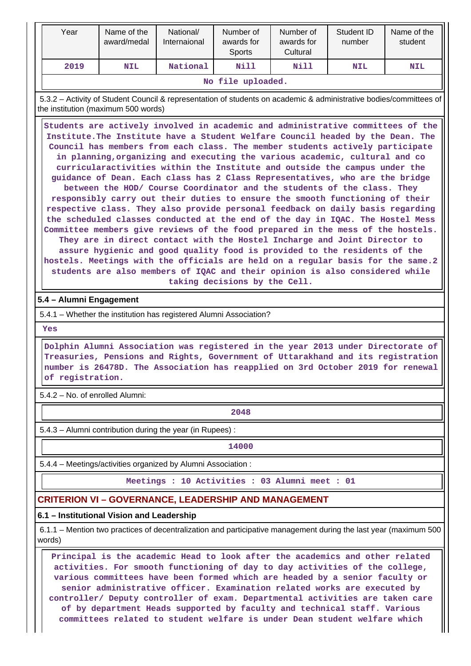| Year                                                                                                                                                                                                                                                                                                                                                                                                                                                                                                                                                                                                                                                                                                                                                                                                                                                                                                                                                                                                                                                                                                                                                                                                                                                                             | Name of the<br>award/medal                                                                                                                                                                                                                            | National/<br>Internaional | Number of<br>awards for<br>Sports | Number of<br>awards for<br>Cultural            | Student ID<br>number | Name of the<br>student                                                                                             |  |  |
|----------------------------------------------------------------------------------------------------------------------------------------------------------------------------------------------------------------------------------------------------------------------------------------------------------------------------------------------------------------------------------------------------------------------------------------------------------------------------------------------------------------------------------------------------------------------------------------------------------------------------------------------------------------------------------------------------------------------------------------------------------------------------------------------------------------------------------------------------------------------------------------------------------------------------------------------------------------------------------------------------------------------------------------------------------------------------------------------------------------------------------------------------------------------------------------------------------------------------------------------------------------------------------|-------------------------------------------------------------------------------------------------------------------------------------------------------------------------------------------------------------------------------------------------------|---------------------------|-----------------------------------|------------------------------------------------|----------------------|--------------------------------------------------------------------------------------------------------------------|--|--|
| 2019                                                                                                                                                                                                                                                                                                                                                                                                                                                                                                                                                                                                                                                                                                                                                                                                                                                                                                                                                                                                                                                                                                                                                                                                                                                                             | <b>NIL</b>                                                                                                                                                                                                                                            | National                  | Nill                              | Nill                                           | <b>NIL</b>           | <b>NIL</b>                                                                                                         |  |  |
|                                                                                                                                                                                                                                                                                                                                                                                                                                                                                                                                                                                                                                                                                                                                                                                                                                                                                                                                                                                                                                                                                                                                                                                                                                                                                  |                                                                                                                                                                                                                                                       |                           | No file uploaded.                 |                                                |                      |                                                                                                                    |  |  |
|                                                                                                                                                                                                                                                                                                                                                                                                                                                                                                                                                                                                                                                                                                                                                                                                                                                                                                                                                                                                                                                                                                                                                                                                                                                                                  | the institution (maximum 500 words)                                                                                                                                                                                                                   |                           |                                   |                                                |                      | 5.3.2 - Activity of Student Council & representation of students on academic & administrative bodies/committees of |  |  |
| Students are actively involved in academic and administrative committees of the<br>Institute. The Institute have a Student Welfare Council headed by the Dean. The<br>Council has members from each class. The member students actively participate<br>in planning, organizing and executing the various academic, cultural and co<br>curricularactivities within the Institute and outside the campus under the<br>guidance of Dean. Each class has 2 Class Representatives, who are the bridge<br>between the HOD/ Course Coordinator and the students of the class. They<br>responsibly carry out their duties to ensure the smooth functioning of their<br>respective class. They also provide personal feedback on daily basis regarding<br>the scheduled classes conducted at the end of the day in IQAC. The Hostel Mess<br>Committee members give reviews of the food prepared in the mess of the hostels.<br>They are in direct contact with the Hostel Incharge and Joint Director to<br>assure hygienic and good quality food is provided to the residents of the<br>hostels. Meetings with the officials are held on a regular basis for the same.2<br>students are also members of IQAC and their opinion is also considered while<br>taking decisions by the Cell. |                                                                                                                                                                                                                                                       |                           |                                   |                                                |                      |                                                                                                                    |  |  |
| 5.4 - Alumni Engagement                                                                                                                                                                                                                                                                                                                                                                                                                                                                                                                                                                                                                                                                                                                                                                                                                                                                                                                                                                                                                                                                                                                                                                                                                                                          |                                                                                                                                                                                                                                                       |                           |                                   |                                                |                      |                                                                                                                    |  |  |
|                                                                                                                                                                                                                                                                                                                                                                                                                                                                                                                                                                                                                                                                                                                                                                                                                                                                                                                                                                                                                                                                                                                                                                                                                                                                                  | 5.4.1 - Whether the institution has registered Alumni Association?                                                                                                                                                                                    |                           |                                   |                                                |                      |                                                                                                                    |  |  |
| Yes                                                                                                                                                                                                                                                                                                                                                                                                                                                                                                                                                                                                                                                                                                                                                                                                                                                                                                                                                                                                                                                                                                                                                                                                                                                                              |                                                                                                                                                                                                                                                       |                           |                                   |                                                |                      |                                                                                                                    |  |  |
| of registration.                                                                                                                                                                                                                                                                                                                                                                                                                                                                                                                                                                                                                                                                                                                                                                                                                                                                                                                                                                                                                                                                                                                                                                                                                                                                 | Dolphin Alumni Association was registered in the year 2013 under Directorate of<br>Treasuries, Pensions and Rights, Government of Uttarakhand and its registration<br>number is 26478D. The Association has reapplied on 3rd October 2019 for renewal |                           |                                   |                                                |                      |                                                                                                                    |  |  |
| 5.4.2 - No. of enrolled Alumni:                                                                                                                                                                                                                                                                                                                                                                                                                                                                                                                                                                                                                                                                                                                                                                                                                                                                                                                                                                                                                                                                                                                                                                                                                                                  |                                                                                                                                                                                                                                                       |                           |                                   |                                                |                      |                                                                                                                    |  |  |
|                                                                                                                                                                                                                                                                                                                                                                                                                                                                                                                                                                                                                                                                                                                                                                                                                                                                                                                                                                                                                                                                                                                                                                                                                                                                                  |                                                                                                                                                                                                                                                       |                           | 2048                              |                                                |                      |                                                                                                                    |  |  |
|                                                                                                                                                                                                                                                                                                                                                                                                                                                                                                                                                                                                                                                                                                                                                                                                                                                                                                                                                                                                                                                                                                                                                                                                                                                                                  | 5.4.3 - Alumni contribution during the year (in Rupees):                                                                                                                                                                                              |                           |                                   |                                                |                      |                                                                                                                    |  |  |
|                                                                                                                                                                                                                                                                                                                                                                                                                                                                                                                                                                                                                                                                                                                                                                                                                                                                                                                                                                                                                                                                                                                                                                                                                                                                                  |                                                                                                                                                                                                                                                       |                           | 14000                             |                                                |                      |                                                                                                                    |  |  |
|                                                                                                                                                                                                                                                                                                                                                                                                                                                                                                                                                                                                                                                                                                                                                                                                                                                                                                                                                                                                                                                                                                                                                                                                                                                                                  | 5.4.4 - Meetings/activities organized by Alumni Association:                                                                                                                                                                                          |                           |                                   |                                                |                      |                                                                                                                    |  |  |
|                                                                                                                                                                                                                                                                                                                                                                                                                                                                                                                                                                                                                                                                                                                                                                                                                                                                                                                                                                                                                                                                                                                                                                                                                                                                                  |                                                                                                                                                                                                                                                       |                           |                                   | Meetings : 10 Activities : 03 Alumni meet : 01 |                      |                                                                                                                    |  |  |
|                                                                                                                                                                                                                                                                                                                                                                                                                                                                                                                                                                                                                                                                                                                                                                                                                                                                                                                                                                                                                                                                                                                                                                                                                                                                                  | <b>CRITERION VI - GOVERNANCE, LEADERSHIP AND MANAGEMENT</b>                                                                                                                                                                                           |                           |                                   |                                                |                      |                                                                                                                    |  |  |
|                                                                                                                                                                                                                                                                                                                                                                                                                                                                                                                                                                                                                                                                                                                                                                                                                                                                                                                                                                                                                                                                                                                                                                                                                                                                                  | 6.1 - Institutional Vision and Leadership                                                                                                                                                                                                             |                           |                                   |                                                |                      |                                                                                                                    |  |  |
| words)                                                                                                                                                                                                                                                                                                                                                                                                                                                                                                                                                                                                                                                                                                                                                                                                                                                                                                                                                                                                                                                                                                                                                                                                                                                                           |                                                                                                                                                                                                                                                       |                           |                                   |                                                |                      | 6.1.1 – Mention two practices of decentralization and participative management during the last year (maximum 500   |  |  |
| Principal is the academic Head to look after the academics and other related<br>activities. For smooth functioning of day to day activities of the college,<br>various committees have been formed which are headed by a senior faculty or                                                                                                                                                                                                                                                                                                                                                                                                                                                                                                                                                                                                                                                                                                                                                                                                                                                                                                                                                                                                                                       |                                                                                                                                                                                                                                                       |                           |                                   |                                                |                      |                                                                                                                    |  |  |

**senior administrative officer. Examination related works are executed by controller/ Deputy controller of exam. Departmental activities are taken care of by department Heads supported by faculty and technical staff. Various committees related to student welfare is under Dean student welfare which**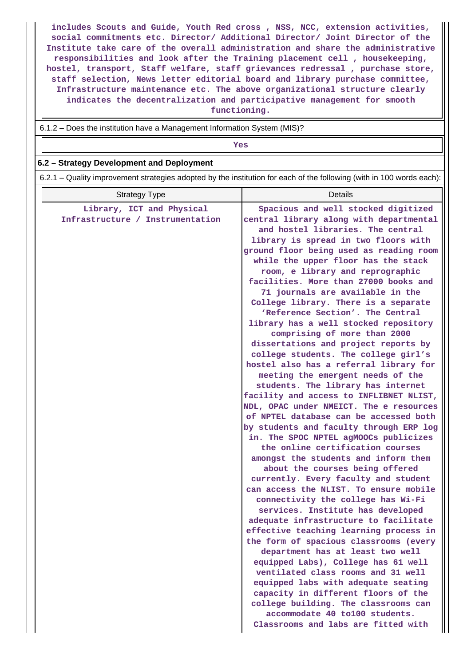**includes Scouts and Guide, Youth Red cross , NSS, NCC, extension activities, social commitments etc. Director/ Additional Director/ Joint Director of the Institute take care of the overall administration and share the administrative responsibilities and look after the Training placement cell , housekeeping, hostel, transport, Staff welfare, staff grievances redressal , purchase store, staff selection, News letter editorial board and library purchase committee, Infrastructure maintenance etc. The above organizational structure clearly indicates the decentralization and participative management for smooth functioning.**

 6.1.2 – Does the institution have a Management Information System (MIS)? *Yes* **6.2 – Strategy Development and Deployment** 6.2.1 – Quality improvement strategies adopted by the institution for each of the following (with in 100 words each): Strategy Type **Details Library, ICT and Physical Infrastructure / Instrumentation Spacious and well stocked digitized central library along with departmental and hostel libraries. The central library is spread in two floors with ground floor being used as reading room while the upper floor has the stack room, e library and reprographic facilities. More than 27000 books and 71 journals are available in the College library. There is a separate 'Reference Section'. The Central library has a well stocked repository comprising of more than 2000 dissertations and project reports by college students. The college girl's hostel also has a referral library for meeting the emergent needs of the students. The library has internet facility and access to INFLIBNET NLIST, NDL, OPAC under NMEICT. The e resources of NPTEL database can be accessed both by students and faculty through ERP log in. The SPOC NPTEL agMOOCs publicizes the online certification courses amongst the students and inform them about the courses being offered currently. Every faculty and student can access the NLIST. To ensure mobile connectivity the college has Wi-Fi services. Institute has developed adequate infrastructure to facilitate effective teaching learning process in the form of spacious classrooms (every department has at least two well equipped Labs), College has 61 well ventilated class rooms and 31 well equipped labs with adequate seating capacity in different floors of the college building. The classrooms can accommodate 40 to100 students. Classrooms and labs are fitted with**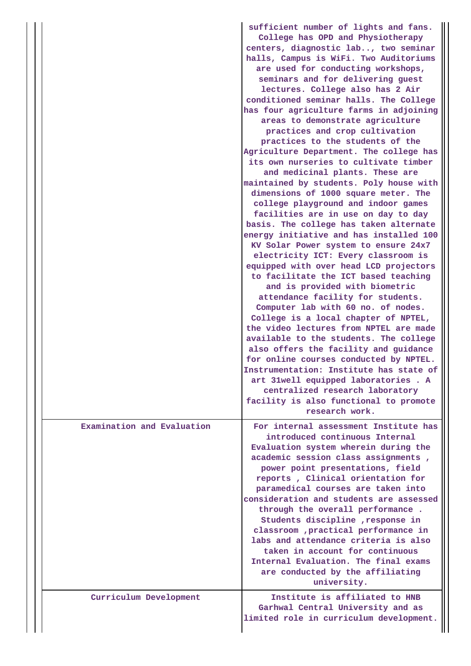|                            | sufficient number of lights and fans.<br>College has OPD and Physiotherapy<br>centers, diagnostic lab, two seminar<br>halls, Campus is WiFi. Two Auditoriums<br>are used for conducting workshops,<br>seminars and for delivering guest<br>lectures. College also has 2 Air<br>conditioned seminar halls. The College<br>has four agriculture farms in adjoining<br>areas to demonstrate agriculture<br>practices and crop cultivation<br>practices to the students of the<br>Agriculture Department. The college has<br>its own nurseries to cultivate timber<br>and medicinal plants. These are<br>maintained by students. Poly house with<br>dimensions of 1000 square meter. The<br>college playground and indoor games<br>facilities are in use on day to day<br>basis. The college has taken alternate<br>energy initiative and has installed 100<br>KV Solar Power system to ensure 24x7<br>electricity ICT: Every classroom is<br>equipped with over head LCD projectors<br>to facilitate the ICT based teaching<br>and is provided with biometric<br>attendance facility for students.<br>Computer lab with 60 no. of nodes.<br>College is a local chapter of NPTEL,<br>the video lectures from NPTEL are made<br>available to the students. The college<br>also offers the facility and guidance<br>for online courses conducted by NPTEL.<br>Instrumentation: Institute has state of<br>art 31well equipped laboratories. A<br>centralized research laboratory<br>facility is also functional to promote<br>research work. |
|----------------------------|---------------------------------------------------------------------------------------------------------------------------------------------------------------------------------------------------------------------------------------------------------------------------------------------------------------------------------------------------------------------------------------------------------------------------------------------------------------------------------------------------------------------------------------------------------------------------------------------------------------------------------------------------------------------------------------------------------------------------------------------------------------------------------------------------------------------------------------------------------------------------------------------------------------------------------------------------------------------------------------------------------------------------------------------------------------------------------------------------------------------------------------------------------------------------------------------------------------------------------------------------------------------------------------------------------------------------------------------------------------------------------------------------------------------------------------------------------------------------------------------------------------------------------------|
| Examination and Evaluation | For internal assessment Institute has<br>introduced continuous Internal<br>Evaluation system wherein during the<br>academic session class assignments,<br>power point presentations, field<br>reports, Clinical orientation for<br>paramedical courses are taken into<br>consideration and students are assessed<br>through the overall performance.<br>Students discipline , response in<br>classroom , practical performance in<br>labs and attendance criteria is also<br>taken in account for continuous<br>Internal Evaluation. The final exams<br>are conducted by the affiliating<br>university.                                                                                                                                                                                                                                                                                                                                                                                                                                                                                                                                                                                                                                                                                                                                                                                                                                                                                                                               |
| Curriculum Development     | Institute is affiliated to HNB<br>Garhwal Central University and as<br>limited role in curriculum development.                                                                                                                                                                                                                                                                                                                                                                                                                                                                                                                                                                                                                                                                                                                                                                                                                                                                                                                                                                                                                                                                                                                                                                                                                                                                                                                                                                                                                        |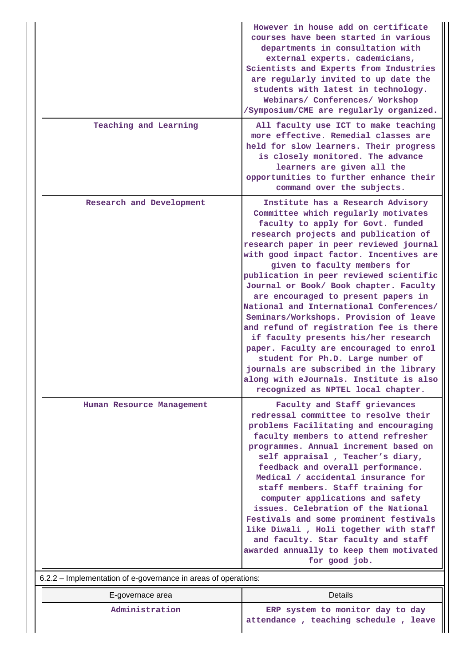|                           | However in house add on certificate<br>courses have been started in various<br>departments in consultation with<br>external experts. cademicians,<br>Scientists and Experts from Industries<br>are regularly invited to up date the<br>students with latest in technology.<br>Webinars/ Conferences/ Workshop<br>/Symposium/CME are regularly organized.                                                                                                                                                                                                                                                                                                                                                                                                                                  |
|---------------------------|-------------------------------------------------------------------------------------------------------------------------------------------------------------------------------------------------------------------------------------------------------------------------------------------------------------------------------------------------------------------------------------------------------------------------------------------------------------------------------------------------------------------------------------------------------------------------------------------------------------------------------------------------------------------------------------------------------------------------------------------------------------------------------------------|
| Teaching and Learning     | All faculty use ICT to make teaching<br>more effective. Remedial classes are<br>held for slow learners. Their progress<br>is closely monitored. The advance<br>learners are given all the<br>opportunities to further enhance their<br>command over the subjects.                                                                                                                                                                                                                                                                                                                                                                                                                                                                                                                         |
| Research and Development  | Institute has a Research Advisory<br>Committee which regularly motivates<br>faculty to apply for Govt. funded<br>research projects and publication of<br>research paper in peer reviewed journal<br>with good impact factor. Incentives are<br>given to faculty members for<br>publication in peer reviewed scientific<br>Journal or Book/ Book chapter. Faculty<br>are encouraged to present papers in<br>National and International Conferences/<br>Seminars/Workshops. Provision of leave<br>and refund of registration fee is there<br>if faculty presents his/her research<br>paper. Faculty are encouraged to enrol<br>student for Ph.D. Large number of<br>journals are subscribed in the library<br>along with eJournals. Institute is also<br>recognized as NPTEL local chapter. |
| Human Resource Management | Faculty and Staff grievances<br>redressal committee to resolve their<br>problems Facilitating and encouraging<br>faculty members to attend refresher<br>programmes. Annual increment based on<br>self appraisal, Teacher's diary,<br>feedback and overall performance.<br>Medical / accidental insurance for<br>staff members. Staff training for<br>computer applications and safety<br>issues. Celebration of the National<br>Festivals and some prominent festivals<br>like Diwali , Holi together with staff<br>and faculty. Star faculty and staff<br>awarded annually to keep them motivated<br>for good job.                                                                                                                                                                       |

| E-governace area | Details                                                                  |  |  |  |  |  |
|------------------|--------------------------------------------------------------------------|--|--|--|--|--|
| Administration   | ERP system to monitor day to day<br>attendance, teaching schedule, leave |  |  |  |  |  |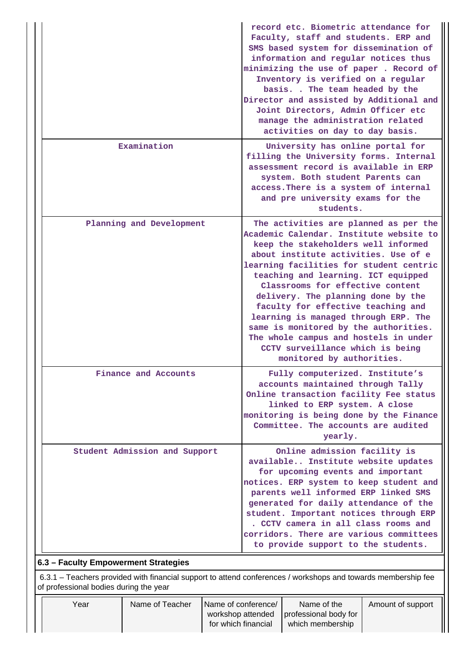|                                                                                                                                                       | record etc. Biometric attendance for<br>Faculty, staff and students. ERP and<br>SMS based system for dissemination of<br>information and regular notices thus<br>minimizing the use of paper. Record of                                                                                                                                                                                                                                                                                                                                                      |
|-------------------------------------------------------------------------------------------------------------------------------------------------------|--------------------------------------------------------------------------------------------------------------------------------------------------------------------------------------------------------------------------------------------------------------------------------------------------------------------------------------------------------------------------------------------------------------------------------------------------------------------------------------------------------------------------------------------------------------|
|                                                                                                                                                       | Inventory is verified on a regular<br>basis. . The team headed by the<br>Director and assisted by Additional and<br>Joint Directors, Admin Officer etc<br>manage the administration related<br>activities on day to day basis.                                                                                                                                                                                                                                                                                                                               |
| Examination                                                                                                                                           | University has online portal for<br>filling the University forms. Internal<br>assessment record is available in ERP<br>system. Both student Parents can<br>access. There is a system of internal<br>and pre university exams for the<br>students.                                                                                                                                                                                                                                                                                                            |
| Planning and Development                                                                                                                              | The activities are planned as per the<br>Academic Calendar. Institute website to<br>keep the stakeholders well informed<br>about institute activities. Use of e<br>learning facilities for student centric<br>teaching and learning. ICT equipped<br>Classrooms for effective content<br>delivery. The planning done by the<br>faculty for effective teaching and<br>learning is managed through ERP. The<br>same is monitored by the authorities.<br>The whole campus and hostels in under<br>CCTV surveillance which is being<br>monitored by authorities. |
| Finance and Accounts                                                                                                                                  | Fully computerized. Institute's<br>accounts maintained through Tally<br>Online transaction facility Fee status<br>linked to ERP system. A close<br>monitoring is being done by the Finance<br>Committee. The accounts are audited<br>yearly.                                                                                                                                                                                                                                                                                                                 |
| Student Admission and Support                                                                                                                         | Online admission facility is<br>available Institute website updates<br>for upcoming events and important<br>notices. ERP system to keep student and<br>parents well informed ERP linked SMS<br>generated for daily attendance of the<br>student. Important notices through ERP<br>. CCTV camera in all class rooms and<br>corridors. There are various committees<br>to provide support to the students.                                                                                                                                                     |
| 6.3 - Faculty Empowerment Strategies<br>6.3.1 – Teachers provided with financial support to attend conferences / workshops and towards membership fee |                                                                                                                                                                                                                                                                                                                                                                                                                                                                                                                                                              |
| of professional bodies during the year                                                                                                                |                                                                                                                                                                                                                                                                                                                                                                                                                                                                                                                                                              |

| Name of Teacher | Name of conference/ | Name of the           | Amount of support |
|-----------------|---------------------|-----------------------|-------------------|
|                 | workshop attended   | professional body for |                   |
|                 | for which financial | which membership      |                   |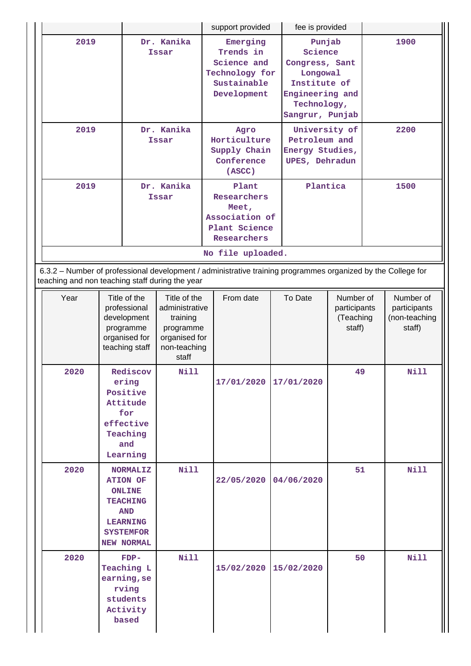|                                                                                                                                                          |                                                                                              |                     |                                                                                                                  | support provided                                                                     |                                                                                                              | fee is provided                                                                                                      |            |                                                  |      |                                                      |
|----------------------------------------------------------------------------------------------------------------------------------------------------------|----------------------------------------------------------------------------------------------|---------------------|------------------------------------------------------------------------------------------------------------------|--------------------------------------------------------------------------------------|--------------------------------------------------------------------------------------------------------------|----------------------------------------------------------------------------------------------------------------------|------------|--------------------------------------------------|------|------------------------------------------------------|
| 2019                                                                                                                                                     |                                                                                              | Dr. Kanika<br>Issar |                                                                                                                  | Emerging<br>Trends in<br>Science and<br>Technology for<br>Sustainable<br>Development |                                                                                                              | Punjab<br>Science<br>Congress, Sant<br>Longowal<br>Institute of<br>Engineering and<br>Technology,<br>Sangrur, Punjab |            | 1900                                             |      |                                                      |
| 2019                                                                                                                                                     |                                                                                              | Dr. Kanika<br>Issar |                                                                                                                  | Agro<br>Horticulture<br>Supply Chain<br>Conference<br>(ASCC)                         |                                                                                                              | University of<br>Petroleum and<br>Energy Studies,<br>UPES, Dehradun                                                  |            | 2200                                             |      |                                                      |
| 2019                                                                                                                                                     |                                                                                              | Dr. Kanika<br>Issar | Plantica<br>Plant<br>Researchers<br>Meet,<br>Association of<br>Plant Science<br>Researchers<br>No file uploaded. |                                                                                      | 1500                                                                                                         |                                                                                                                      |            |                                                  |      |                                                      |
| teaching and non teaching staff during the year                                                                                                          |                                                                                              |                     |                                                                                                                  |                                                                                      | 6.3.2 - Number of professional development / administrative training programmes organized by the College for |                                                                                                                      |            |                                                  |      |                                                      |
| Year                                                                                                                                                     | Title of the<br>professional<br>development<br>programme<br>organised for<br>teaching staff  |                     | Title of the<br>administrative<br>training<br>programme<br>organised for<br>non-teaching<br>staff                |                                                                                      | From date                                                                                                    |                                                                                                                      | To Date    | Number of<br>participants<br>(Teaching<br>staff) |      | Number of<br>participants<br>(non-teaching<br>staff) |
| 2020                                                                                                                                                     | Rediscov<br>ering<br>Positive<br>Attitude<br>for<br>effective<br>Teaching<br>and<br>Learning |                     | Nill                                                                                                             |                                                                                      | 17/01/2020 17/01/2020                                                                                        |                                                                                                                      |            | 49                                               |      | Nill                                                 |
| 2020<br><b>NORMALIZ</b><br><b>ATION OF</b><br><b>ONLINE</b><br><b>TEACHING</b><br><b>AND</b><br><b>LEARNING</b><br><b>SYSTEMFOR</b><br><b>NEW NORMAL</b> |                                                                                              | <b>Nill</b>         |                                                                                                                  | 22/05/2020                                                                           |                                                                                                              | 04/06/2020                                                                                                           | 51         |                                                  | Nill |                                                      |
| 2020                                                                                                                                                     | $FDP-$<br>Teaching L<br>earning, se<br>rving<br>students<br>Activity<br>based                |                     | <b>Nill</b>                                                                                                      |                                                                                      | 15/02/2020                                                                                                   |                                                                                                                      | 15/02/2020 | 50                                               |      | Nill                                                 |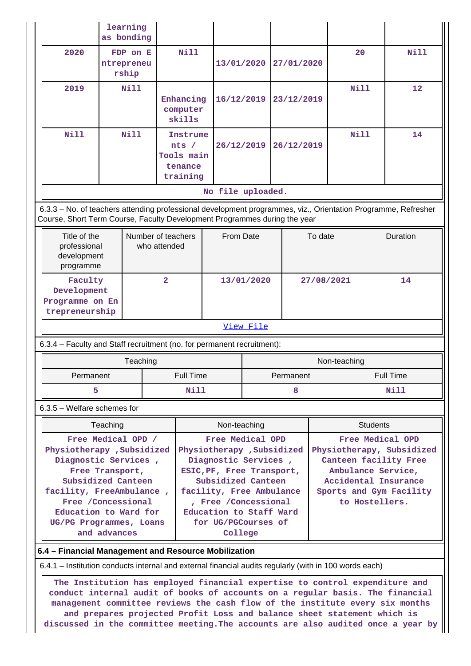|                                                                                                                                                                                                                                         | learning<br>as bonding                                                            |  |                                                        |                                                                                                                                                                                                                                            |           |            |                                                                                                                                                                   |              |                 |      |
|-----------------------------------------------------------------------------------------------------------------------------------------------------------------------------------------------------------------------------------------|-----------------------------------------------------------------------------------|--|--------------------------------------------------------|--------------------------------------------------------------------------------------------------------------------------------------------------------------------------------------------------------------------------------------------|-----------|------------|-------------------------------------------------------------------------------------------------------------------------------------------------------------------|--------------|-----------------|------|
| 2020                                                                                                                                                                                                                                    | FDP on E<br>ntrepreneu<br>rship                                                   |  | Nill                                                   | 13/01/2020                                                                                                                                                                                                                                 |           | 27/01/2020 |                                                                                                                                                                   | 20           |                 | Nill |
| 2019                                                                                                                                                                                                                                    | Nill                                                                              |  | Enhancing<br>computer<br>skills                        | 16/12/2019                                                                                                                                                                                                                                 |           | 23/12/2019 |                                                                                                                                                                   | Nill         |                 | 12   |
| Nill                                                                                                                                                                                                                                    | Nill                                                                              |  | Instrume<br>nts /<br>Tools main<br>tenance<br>training | 26/12/2019                                                                                                                                                                                                                                 |           | 26/12/2019 |                                                                                                                                                                   | Nill         |                 | 14   |
|                                                                                                                                                                                                                                         |                                                                                   |  |                                                        | No file uploaded.                                                                                                                                                                                                                          |           |            |                                                                                                                                                                   |              |                 |      |
| 6.3.3 - No. of teachers attending professional development programmes, viz., Orientation Programme, Refresher<br>Course, Short Term Course, Faculty Development Programmes during the year                                              |                                                                                   |  |                                                        |                                                                                                                                                                                                                                            |           |            |                                                                                                                                                                   |              |                 |      |
| programme                                                                                                                                                                                                                               | Title of the<br>Number of teachers<br>professional<br>who attended<br>development |  | From Date                                              |                                                                                                                                                                                                                                            |           | To date    |                                                                                                                                                                   |              | Duration        |      |
|                                                                                                                                                                                                                                         | $\overline{2}$<br>Faculty<br>Development<br>Programme on En<br>trepreneurship     |  | 13/01/2020                                             |                                                                                                                                                                                                                                            |           | 27/08/2021 |                                                                                                                                                                   | 14           |                 |      |
|                                                                                                                                                                                                                                         |                                                                                   |  |                                                        |                                                                                                                                                                                                                                            | View File |            |                                                                                                                                                                   |              |                 |      |
| 6.3.4 - Faculty and Staff recruitment (no. for permanent recruitment):                                                                                                                                                                  |                                                                                   |  |                                                        |                                                                                                                                                                                                                                            |           |            |                                                                                                                                                                   |              |                 |      |
|                                                                                                                                                                                                                                         | Teaching                                                                          |  |                                                        |                                                                                                                                                                                                                                            |           |            |                                                                                                                                                                   | Non-teaching |                 |      |
| Permanent                                                                                                                                                                                                                               |                                                                                   |  | <b>Full Time</b>                                       |                                                                                                                                                                                                                                            |           | Permanent  | <b>Full Time</b>                                                                                                                                                  |              |                 |      |
| 5                                                                                                                                                                                                                                       |                                                                                   |  | <b>Nill</b><br>8                                       |                                                                                                                                                                                                                                            |           |            |                                                                                                                                                                   |              | Nill            |      |
| $6.3.5$ – Welfare schemes for                                                                                                                                                                                                           |                                                                                   |  |                                                        |                                                                                                                                                                                                                                            |           |            |                                                                                                                                                                   |              |                 |      |
|                                                                                                                                                                                                                                         | Teaching                                                                          |  |                                                        | Non-teaching                                                                                                                                                                                                                               |           |            |                                                                                                                                                                   |              | <b>Students</b> |      |
| Free Medical OPD /<br>Physiotherapy , Subsidized<br>Diagnostic Services,<br>Free Transport,<br>Subsidized Canteen<br>facility, FreeAmbulance,<br>Free /Concessional<br>Education to Ward for<br>UG/PG Programmes, Loans<br>and advances |                                                                                   |  |                                                        | Free Medical OPD<br>Physiotherapy , Subsidized<br>Diagnostic Services,<br>ESIC, PF, Free Transport,<br>Subsidized Canteen<br>facility, Free Ambulance<br>, Free /Concessional<br>Education to Staff Ward<br>for UG/PGCourses of<br>College |           |            | Free Medical OPD<br>Physiotherapy, Subsidized<br>Canteen facility Free<br>Ambulance Service,<br>Accidental Insurance<br>Sports and Gym Facility<br>to Hostellers. |              |                 |      |
|                                                                                                                                                                                                                                         |                                                                                   |  |                                                        |                                                                                                                                                                                                                                            |           |            |                                                                                                                                                                   |              |                 |      |
|                                                                                                                                                                                                                                         |                                                                                   |  |                                                        |                                                                                                                                                                                                                                            |           |            |                                                                                                                                                                   |              |                 |      |
| 6.4 - Financial Management and Resource Mobilization<br>6.4.1 – Institution conducts internal and external financial audits regularly (with in 100 words each)                                                                          |                                                                                   |  |                                                        |                                                                                                                                                                                                                                            |           |            |                                                                                                                                                                   |              |                 |      |

**discussed in the committee meeting.The accounts are also audited once a year by**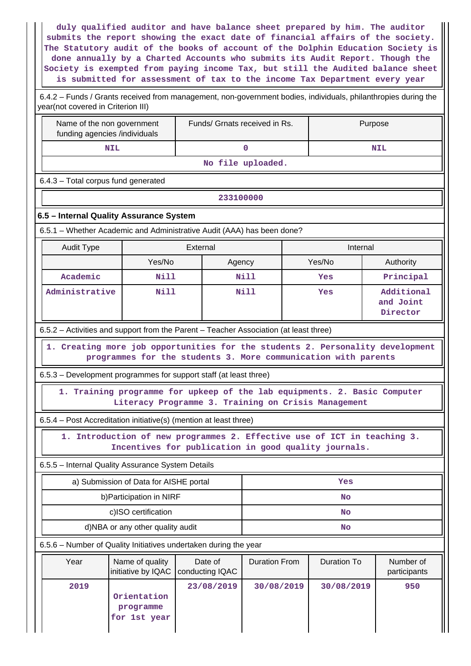**duly qualified auditor and have balance sheet prepared by him. The auditor submits the report showing the exact date of financial affairs of the society. The Statutory audit of the books of account of the Dolphin Education Society is done annually by a Charted Accounts who submits its Audit Report. Though the Society is exempted from paying income Tax, but still the Audited balance sheet is submitted for assessment of tax to the income Tax Department every year**

 6.4.2 – Funds / Grants received from management, non-government bodies, individuals, philanthropies during the year(not covered in Criterion III)

| Name of the non government<br>funding agencies /individuals                           |                                          | Funds/ Grnats received in Rs.                       |                      |            | Purpose                                                                                                                          |                                     |  |  |  |  |  |
|---------------------------------------------------------------------------------------|------------------------------------------|-----------------------------------------------------|----------------------|------------|----------------------------------------------------------------------------------------------------------------------------------|-------------------------------------|--|--|--|--|--|
| <b>NIL</b>                                                                            | $\Omega$                                 |                                                     |                      | <b>NIL</b> |                                                                                                                                  |                                     |  |  |  |  |  |
|                                                                                       |                                          |                                                     | No file uploaded.    |            |                                                                                                                                  |                                     |  |  |  |  |  |
|                                                                                       | 6.4.3 - Total corpus fund generated      |                                                     |                      |            |                                                                                                                                  |                                     |  |  |  |  |  |
|                                                                                       |                                          |                                                     | 233100000            |            |                                                                                                                                  |                                     |  |  |  |  |  |
| 6.5 - Internal Quality Assurance System                                               |                                          |                                                     |                      |            |                                                                                                                                  |                                     |  |  |  |  |  |
| 6.5.1 - Whether Academic and Administrative Audit (AAA) has been done?                |                                          |                                                     |                      |            |                                                                                                                                  |                                     |  |  |  |  |  |
| <b>Audit Type</b>                                                                     |                                          | External                                            |                      |            | Internal                                                                                                                         |                                     |  |  |  |  |  |
|                                                                                       | Yes/No                                   |                                                     | Agency               |            | Yes/No                                                                                                                           | Authority                           |  |  |  |  |  |
| Academic                                                                              | Nill                                     |                                                     | Nill                 |            | Yes                                                                                                                              | Principal                           |  |  |  |  |  |
| Administrative                                                                        | Nill                                     |                                                     | Nill                 |            | Yes                                                                                                                              | Additional<br>and Joint<br>Director |  |  |  |  |  |
| 6.5.2 - Activities and support from the Parent - Teacher Association (at least three) |                                          |                                                     |                      |            |                                                                                                                                  |                                     |  |  |  |  |  |
| 1. Creating more job opportunities for the students 2. Personality development        |                                          |                                                     |                      |            | programmes for the students 3. More communication with parents                                                                   |                                     |  |  |  |  |  |
| 6.5.3 – Development programmes for support staff (at least three)                     |                                          |                                                     |                      |            |                                                                                                                                  |                                     |  |  |  |  |  |
|                                                                                       |                                          | Literacy Programme 3. Training on Crisis Management |                      |            | 1. Training programme for upkeep of the lab equipments. 2. Basic Computer                                                        |                                     |  |  |  |  |  |
| 6.5.4 – Post Accreditation initiative(s) (mention at least three)                     |                                          |                                                     |                      |            |                                                                                                                                  |                                     |  |  |  |  |  |
|                                                                                       |                                          |                                                     |                      |            | 1. Introduction of new programmes 2. Effective use of ICT in teaching 3.<br>Incentives for publication in good quality journals. |                                     |  |  |  |  |  |
| 6.5.5 - Internal Quality Assurance System Details                                     |                                          |                                                     |                      |            |                                                                                                                                  |                                     |  |  |  |  |  |
|                                                                                       | a) Submission of Data for AISHE portal   |                                                     |                      |            | Yes                                                                                                                              |                                     |  |  |  |  |  |
|                                                                                       | b) Participation in NIRF                 |                                                     |                      | <b>No</b>  |                                                                                                                                  |                                     |  |  |  |  |  |
|                                                                                       | c)ISO certification                      |                                                     |                      |            | <b>No</b>                                                                                                                        |                                     |  |  |  |  |  |
|                                                                                       | d)NBA or any other quality audit         |                                                     |                      |            | <b>No</b>                                                                                                                        |                                     |  |  |  |  |  |
| 6.5.6 - Number of Quality Initiatives undertaken during the year                      |                                          |                                                     |                      |            |                                                                                                                                  |                                     |  |  |  |  |  |
| Year                                                                                  | Name of quality<br>initiative by IQAC    | Date of<br>conducting IQAC                          | <b>Duration From</b> |            | <b>Duration To</b>                                                                                                               | Number of<br>participants           |  |  |  |  |  |
| 2019                                                                                  | Orientation<br>programme<br>for 1st year | 23/08/2019                                          | 30/08/2019           |            | 30/08/2019                                                                                                                       | 950                                 |  |  |  |  |  |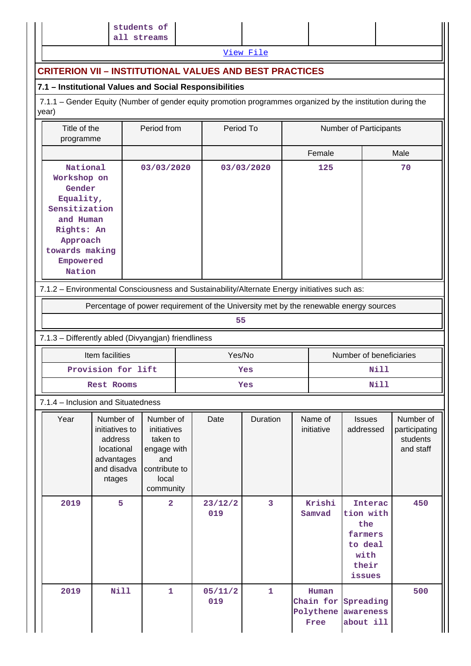[View File](https://assessmentonline.naac.gov.in/public/Postacc/Quality_Initiatives_B/12472_Quality_Initiatives_B_1630234078.xlsx)

# **CRITERION VII – INSTITUTIONAL VALUES AND BEST PRACTICES**

# **7.1 – Institutional Values and Social Responsibilities**

 7.1.1 – Gender Equity (Number of gender equity promotion programmes organized by the institution during the year)

| Title of the<br>programme                                                                                                                                     |                                                                                                                                                                                                  | Period from    |            | Period To      |                |      |                       | Number of Participants                                                              |                                                     |  |  |
|---------------------------------------------------------------------------------------------------------------------------------------------------------------|--------------------------------------------------------------------------------------------------------------------------------------------------------------------------------------------------|----------------|------------|----------------|----------------|------|-----------------------|-------------------------------------------------------------------------------------|-----------------------------------------------------|--|--|
|                                                                                                                                                               |                                                                                                                                                                                                  |                |            |                |                |      | Female                |                                                                                     | Male                                                |  |  |
| National<br>03/03/2020<br>Workshop on<br>Gender<br>Equality,<br>Sensitization<br>and Human<br>Rights: An<br>Approach<br>towards making<br>Empowered<br>Nation |                                                                                                                                                                                                  |                | 03/03/2020 |                | 125            |      |                       | 70                                                                                  |                                                     |  |  |
| 7.1.2 - Environmental Consciousness and Sustainability/Alternate Energy initiatives such as:                                                                  |                                                                                                                                                                                                  |                |            |                |                |      |                       |                                                                                     |                                                     |  |  |
| Percentage of power requirement of the University met by the renewable energy sources                                                                         |                                                                                                                                                                                                  |                |            |                |                |      |                       |                                                                                     |                                                     |  |  |
| 55<br>7.1.3 - Differently abled (Divyangjan) friendliness                                                                                                     |                                                                                                                                                                                                  |                |            |                |                |      |                       |                                                                                     |                                                     |  |  |
|                                                                                                                                                               | Item facilities                                                                                                                                                                                  |                |            | Yes/No         |                |      |                       | Number of beneficiaries                                                             |                                                     |  |  |
| Provision for lift                                                                                                                                            |                                                                                                                                                                                                  |                | Yes        |                |                |      |                       | <b>Nill</b>                                                                         |                                                     |  |  |
| Rest Rooms                                                                                                                                                    |                                                                                                                                                                                                  |                |            | Yes            |                | Nill |                       |                                                                                     |                                                     |  |  |
| 7.1.4 - Inclusion and Situatedness                                                                                                                            |                                                                                                                                                                                                  |                |            |                |                |      |                       |                                                                                     |                                                     |  |  |
| Year                                                                                                                                                          | Number of<br>Number of<br>initiatives to<br>initiatives<br>address<br>taken to<br>locational<br>engage with<br>advantages<br>and<br>and disadva<br>contribute to<br>local<br>ntages<br>community |                |            | Date           | Duration       |      | Name of<br>initiative | <b>Issues</b><br>addressed                                                          | Number of<br>participating<br>students<br>and staff |  |  |
| 2019                                                                                                                                                          | 5                                                                                                                                                                                                | $\overline{2}$ |            | 23/12/2<br>019 | $\overline{3}$ |      | Krishi<br>Samvad      | <b>Interac</b><br>tion with<br>the<br>farmers<br>to deal<br>with<br>their<br>issues | 450                                                 |  |  |
| 2019                                                                                                                                                          | Nill                                                                                                                                                                                             | $\mathbf{1}$   |            | 05/11/2<br>019 | $\mathbf{1}$   |      | Human<br>Free         | Chain for Spreading<br>Polythene awareness<br>about ill                             | 500                                                 |  |  |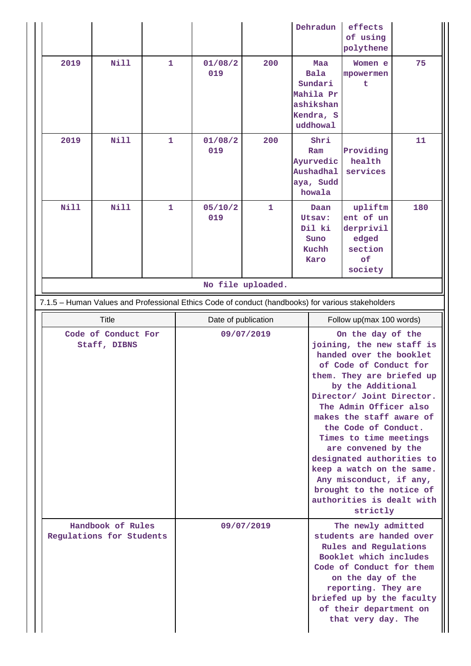|                                                                                                                        |                                     |   |                |                                                   | Dehradun                                                                         | effects<br>of using<br>polythene                                                                                                                                                                                                                                                                                                                                                                                                                                            |    |  |  |  |
|------------------------------------------------------------------------------------------------------------------------|-------------------------------------|---|----------------|---------------------------------------------------|----------------------------------------------------------------------------------|-----------------------------------------------------------------------------------------------------------------------------------------------------------------------------------------------------------------------------------------------------------------------------------------------------------------------------------------------------------------------------------------------------------------------------------------------------------------------------|----|--|--|--|
| 2019                                                                                                                   | <b>Nill</b><br>$\mathbf{1}$         |   | 01/08/2<br>019 | 200                                               | Maa<br><b>Bala</b><br>Sundari<br>Mahila Pr<br>ashikshan<br>Kendra, S<br>uddhowal | Women e<br>mpowermen<br>t                                                                                                                                                                                                                                                                                                                                                                                                                                                   | 75 |  |  |  |
| 2019                                                                                                                   | <b>Nill</b>                         | 1 | 01/08/2<br>019 | 200                                               | Shri<br>Ram<br>Ayurvedic<br>Aushadhal<br>aya, Sudd<br>howala                     | Providing<br>health<br>services                                                                                                                                                                                                                                                                                                                                                                                                                                             | 11 |  |  |  |
| <b>Nill</b>                                                                                                            | Nill<br>1<br>05/10/2<br>019         |   | 1              | Daan<br>Utsav:<br>Dil ki<br>Suno<br>Kuchh<br>Karo | upliftm<br>ent of un<br>derprivil<br>edged<br>section<br>of<br>society           | 180                                                                                                                                                                                                                                                                                                                                                                                                                                                                         |    |  |  |  |
| No file uploaded.<br>7.1.5 - Human Values and Professional Ethics Code of conduct (handbooks) for various stakeholders |                                     |   |                |                                                   |                                                                                  |                                                                                                                                                                                                                                                                                                                                                                                                                                                                             |    |  |  |  |
|                                                                                                                        | <b>Title</b>                        |   |                | Date of publication                               |                                                                                  | Follow up(max 100 words)                                                                                                                                                                                                                                                                                                                                                                                                                                                    |    |  |  |  |
|                                                                                                                        | Code of Conduct For<br>Staff, DIBNS |   |                | 09/07/2019                                        |                                                                                  | On the day of the<br>joining, the new staff is<br>handed over the booklet<br>of Code of Conduct for<br>them. They are briefed up<br>by the Additional<br>Director/ Joint Director.<br>The Admin Officer also<br>makes the staff aware of<br>the Code of Conduct.<br>Times to time meetings<br>are convened by the<br>designated authorities to<br>keep a watch on the same.<br>Any misconduct, if any,<br>brought to the notice of<br>authorities is dealt with<br>strictly |    |  |  |  |
| Handbook of Rules<br>Regulations for Students                                                                          |                                     |   |                | 09/07/2019                                        |                                                                                  | The newly admitted<br>students are handed over<br>Rules and Regulations<br>Booklet which includes<br>Code of Conduct for them<br>on the day of the<br>reporting. They are<br>briefed up by the faculty<br>of their department on<br>that very day. The                                                                                                                                                                                                                      |    |  |  |  |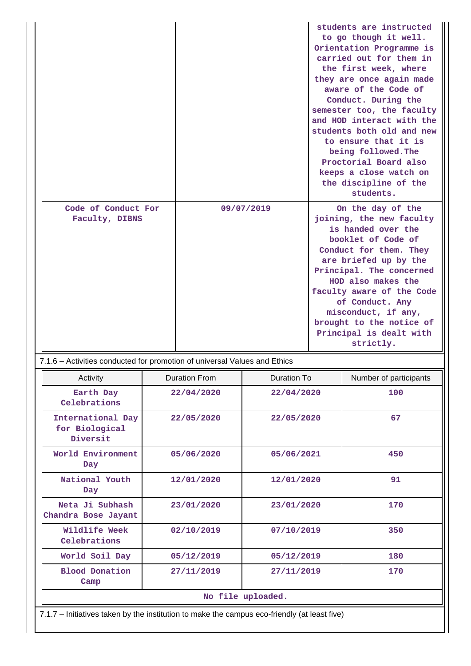|                                                                           |                      |                    |                                                                                                                                                                                                                                                                                                                                           | students are instructed<br>to go though it well.<br>Orientation Programme is<br>carried out for them in<br>the first week, where<br>they are once again made<br>aware of the Code of<br>Conduct. During the<br>semester too, the faculty<br>and HOD interact with the<br>students both old and new<br>to ensure that it is<br>being followed. The<br>Proctorial Board also<br>keeps a close watch on<br>the discipline of the<br>students. |  |
|---------------------------------------------------------------------------|----------------------|--------------------|-------------------------------------------------------------------------------------------------------------------------------------------------------------------------------------------------------------------------------------------------------------------------------------------------------------------------------------------|--------------------------------------------------------------------------------------------------------------------------------------------------------------------------------------------------------------------------------------------------------------------------------------------------------------------------------------------------------------------------------------------------------------------------------------------|--|
| Code of Conduct For<br>Faculty, DIBNS                                     |                      | 09/07/2019         | On the day of the<br>joining, the new faculty<br>is handed over the<br>booklet of Code of<br>Conduct for them. They<br>are briefed up by the<br>Principal. The concerned<br>HOD also makes the<br>faculty aware of the Code<br>of Conduct. Any<br>misconduct, if any,<br>brought to the notice of<br>Principal is dealt with<br>strictly. |                                                                                                                                                                                                                                                                                                                                                                                                                                            |  |
| 7.1.6 – Activities conducted for promotion of universal Values and Ethics |                      |                    |                                                                                                                                                                                                                                                                                                                                           |                                                                                                                                                                                                                                                                                                                                                                                                                                            |  |
| Activity                                                                  | <b>Duration From</b> | <b>Duration To</b> |                                                                                                                                                                                                                                                                                                                                           | Number of participants                                                                                                                                                                                                                                                                                                                                                                                                                     |  |
| Earth Day<br>Celebrations                                                 | 22/04/2020           | 22/04/2020         |                                                                                                                                                                                                                                                                                                                                           | 100                                                                                                                                                                                                                                                                                                                                                                                                                                        |  |
| International Day<br>for Biological<br>Diversit                           | 22/05/2020           | 22/05/2020         |                                                                                                                                                                                                                                                                                                                                           | 67                                                                                                                                                                                                                                                                                                                                                                                                                                         |  |
| World Environment<br>Day                                                  | 05/06/2020           | 05/06/2021         |                                                                                                                                                                                                                                                                                                                                           | 450                                                                                                                                                                                                                                                                                                                                                                                                                                        |  |
| National Youth<br>Day                                                     | 12/01/2020           | 12/01/2020         |                                                                                                                                                                                                                                                                                                                                           | 91                                                                                                                                                                                                                                                                                                                                                                                                                                         |  |
| Neta Ji Subhash<br>Chandra Bose Jayant                                    | 23/01/2020           | 23/01/2020         |                                                                                                                                                                                                                                                                                                                                           | 170                                                                                                                                                                                                                                                                                                                                                                                                                                        |  |
| Wildlife Week<br>Celebrations                                             | 02/10/2019           | 07/10/2019         |                                                                                                                                                                                                                                                                                                                                           | 350                                                                                                                                                                                                                                                                                                                                                                                                                                        |  |
| World Soil Day                                                            | 05/12/2019           | 05/12/2019         |                                                                                                                                                                                                                                                                                                                                           | 180                                                                                                                                                                                                                                                                                                                                                                                                                                        |  |
| <b>Blood Donation</b><br>Camp                                             | 27/11/2019           | 27/11/2019         |                                                                                                                                                                                                                                                                                                                                           | 170                                                                                                                                                                                                                                                                                                                                                                                                                                        |  |

**No file uploaded.**

7.1.7 – Initiatives taken by the institution to make the campus eco-friendly (at least five)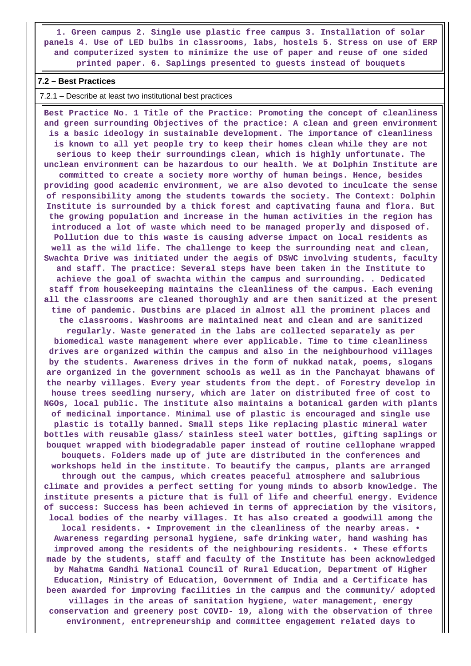**1. Green campus 2. Single use plastic free campus 3. Installation of solar panels 4. Use of LED bulbs in classrooms, labs, hostels 5. Stress on use of ERP and computerized system to minimize the use of paper and reuse of one sided printed paper. 6. Saplings presented to guests instead of bouquets**

#### **7.2 – Best Practices**

#### 7.2.1 – Describe at least two institutional best practices

 **Best Practice No. 1 Title of the Practice: Promoting the concept of cleanliness and green surrounding Objectives of the practice: A clean and green environment is a basic ideology in sustainable development. The importance of cleanliness is known to all yet people try to keep their homes clean while they are not serious to keep their surroundings clean, which is highly unfortunate. The unclean environment can be hazardous to our health. We at Dolphin Institute are committed to create a society more worthy of human beings. Hence, besides providing good academic environment, we are also devoted to inculcate the sense of responsibility among the students towards the society. The Context: Dolphin Institute is surrounded by a thick forest and captivating fauna and flora. But the growing population and increase in the human activities in the region has introduced a lot of waste which need to be managed properly and disposed of. Pollution due to this waste is causing adverse impact on local residents as well as the wild life. The challenge to keep the surrounding neat and clean, Swachta Drive was initiated under the aegis of DSWC involving students, faculty and staff. The practice: Several steps have been taken in the Institute to achieve the goal of swachta within the campus and surrounding. . Dedicated staff from housekeeping maintains the cleanliness of the campus. Each evening all the classrooms are cleaned thoroughly and are then sanitized at the present time of pandemic. Dustbins are placed in almost all the prominent places and the classrooms. Washrooms are maintained neat and clean and are sanitized regularly. Waste generated in the labs are collected separately as per biomedical waste management where ever applicable. Time to time cleanliness drives are organized within the campus and also in the neighbourhood villages by the students. Awareness drives in the form of nukkad natak, poems, slogans are organized in the government schools as well as in the Panchayat bhawans of the nearby villages. Every year students from the dept. of Forestry develop in house trees seedling nursery, which are later on distributed free of cost to NGOs, local public. The institute also maintains a botanical garden with plants of medicinal importance. Minimal use of plastic is encouraged and single use plastic is totally banned. Small steps like replacing plastic mineral water bottles with reusable glass/ stainless steel water bottles, gifting saplings or bouquet wrapped with biodegradable paper instead of routine cellophane wrapped bouquets. Folders made up of jute are distributed in the conferences and workshops held in the institute. To beautify the campus, plants are arranged through out the campus, which creates peaceful atmosphere and salubrious climate and provides a perfect setting for young minds to absorb knowledge. The institute presents a picture that is full of life and cheerful energy. Evidence of success: Success has been achieved in terms of appreciation by the visitors, local bodies of the nearby villages. It has also created a goodwill among the local residents. • Improvement in the cleanliness of the nearby areas. • Awareness regarding personal hygiene, safe drinking water, hand washing has improved among the residents of the neighbouring residents. • These efforts made by the students, staff and faculty of the Institute has been acknowledged by Mahatma Gandhi National Council of Rural Education, Department of Higher Education, Ministry of Education, Government of India and a Certificate has been awarded for improving facilities in the campus and the community/ adopted villages in the areas of sanitation hygiene, water management, energy conservation and greenery post COVID- 19, along with the observation of three environment, entrepreneurship and committee engagement related days to**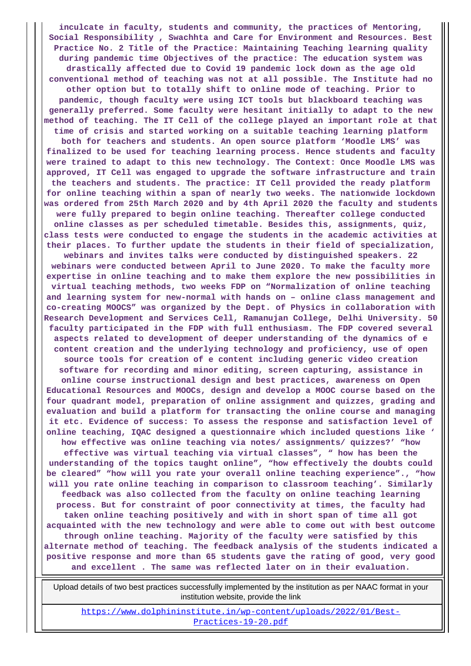**inculcate in faculty, students and community, the practices of Mentoring, Social Responsibility , Swachhta and Care for Environment and Resources. Best Practice No. 2 Title of the Practice: Maintaining Teaching learning quality during pandemic time Objectives of the practice: The education system was drastically affected due to Covid 19 pandemic lock down as the age old conventional method of teaching was not at all possible. The Institute had no other option but to totally shift to online mode of teaching. Prior to pandemic, though faculty were using ICT tools but blackboard teaching was generally preferred. Some faculty were hesitant initially to adapt to the new method of teaching. The IT Cell of the college played an important role at that time of crisis and started working on a suitable teaching learning platform both for teachers and students. An open source platform 'Moodle LMS' was finalized to be used for teaching learning process. Hence students and faculty were trained to adapt to this new technology. The Context: Once Moodle LMS was approved, IT Cell was engaged to upgrade the software infrastructure and train the teachers and students. The practice: IT Cell provided the ready platform for online teaching within a span of nearly two weeks. The nationwide lockdown was ordered from 25th March 2020 and by 4th April 2020 the faculty and students were fully prepared to begin online teaching. Thereafter college conducted online classes as per scheduled timetable. Besides this, assignments, quiz, class tests were conducted to engage the students in the academic activities at their places. To further update the students in their field of specialization, webinars and invites talks were conducted by distinguished speakers. 22 webinars were conducted between April to June 2020. To make the faculty more expertise in online teaching and to make them explore the new possibilities in virtual teaching methods, two weeks FDP on "Normalization of online teaching and learning system for new-normal with hands on – online class management and co-creating MOOCS" was organized by the Dept. of Physics in collaboration with Research Development and Services Cell, Ramanujan College, Delhi University. 50 faculty participated in the FDP with full enthusiasm. The FDP covered several aspects related to development of deeper understanding of the dynamics of e content creation and the underlying technology and proficiency, use of open source tools for creation of e content including generic video creation software for recording and minor editing, screen capturing, assistance in online course instructional design and best practices, awareness on Open Educational Resources and MOOCs, design and develop a MOOC course based on the four quadrant model, preparation of online assignment and quizzes, grading and evaluation and build a platform for transacting the online course and managing it etc. Evidence of success: To assess the response and satisfaction level of online teaching, IQAC designed a questionnaire which included questions like ' how effective was online teaching via notes/ assignments/ quizzes?' "how effective was virtual teaching via virtual classes", " how has been the understanding of the topics taught online", "how effectively the doubts could be cleared" "how will you rate your overall online teaching experience"., "how will you rate online teaching in comparison to classroom teaching'. Similarly feedback was also collected from the faculty on online teaching learning process. But for constraint of poor connectivity at times, the faculty had taken online teaching positively and with in short span of time all got acquainted with the new technology and were able to come out with best outcome through online teaching. Majority of the faculty were satisfied by this alternate method of teaching. The feedback analysis of the students indicated a positive response and more than 65 students gave the rating of good, very good and excellent . The same was reflected later on in their evaluation.**

 Upload details of two best practices successfully implemented by the institution as per NAAC format in your institution website, provide the link

[https://www.dolphininstitute.in/wp-content/uploads/2022/01/Best-](https://www.dolphininstitute.in/wp-content/uploads/2022/01/Best-Practices-19-20.pdf)[Practices-19-20.pdf](https://www.dolphininstitute.in/wp-content/uploads/2022/01/Best-Practices-19-20.pdf)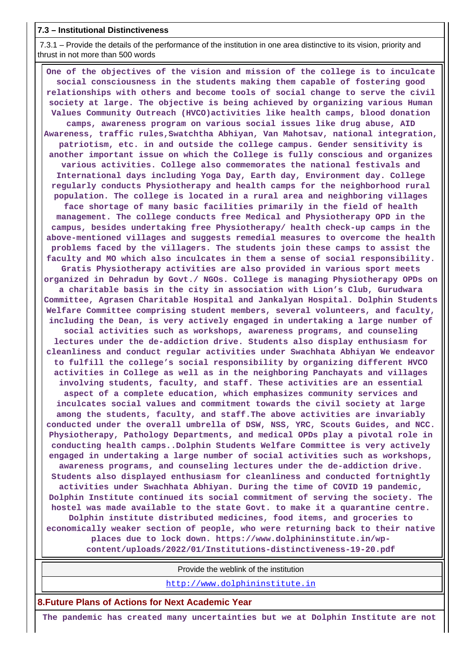#### **7.3 – Institutional Distinctiveness**

 7.3.1 – Provide the details of the performance of the institution in one area distinctive to its vision, priority and thrust in not more than 500 words

 **One of the objectives of the vision and mission of the college is to inculcate social consciousness in the students making them capable of fostering good relationships with others and become tools of social change to serve the civil society at large. The objective is being achieved by organizing various Human Values Community Outreach (HVCO)activities like health camps, blood donation camps, awareness program on various social issues like drug abuse, AID Awareness, traffic rules,Swatchtha Abhiyan, Van Mahotsav, national integration, patriotism, etc. in and outside the college campus. Gender sensitivity is another important issue on which the College is fully conscious and organizes various activities. College also commemorates the national festivals and International days including Yoga Day, Earth day, Environment day. College regularly conducts Physiotherapy and health camps for the neighborhood rural population. The college is located in a rural area and neighboring villages face shortage of many basic facilities primarily in the field of health management. The college conducts free Medical and Physiotherapy OPD in the campus, besides undertaking free Physiotherapy/ health check-up camps in the above-mentioned villages and suggests remedial measures to overcome the health problems faced by the villagers. The students join these camps to assist the faculty and MO which also inculcates in them a sense of social responsibility. Gratis Physiotherapy activities are also provided in various sport meets organized in Dehradun by Govt./ NGOs. College is managing Physiotherapy OPDs on a charitable basis in the city in association with Lion's Club, Gurudwara Committee, Agrasen Charitable Hospital and Jankalyan Hospital. Dolphin Students Welfare Committee comprising student members, several volunteers, and faculty, including the Dean, is very actively engaged in undertaking a large number of social activities such as workshops, awareness programs, and counseling lectures under the de-addiction drive. Students also display enthusiasm for cleanliness and conduct regular activities under Swachhata Abhiyan We endeavor to fulfill the college's social responsibility by organizing different HVCO activities in College as well as in the neighboring Panchayats and villages involving students, faculty, and staff. These activities are an essential aspect of a complete education, which emphasizes community services and inculcates social values and commitment towards the civil society at large among the students, faculty, and staff.The above activities are invariably conducted under the overall umbrella of DSW, NSS, YRC, Scouts Guides, and NCC. Physiotherapy, Pathology Departments, and medical OPDs play a pivotal role in conducting health camps..Dolphin Students Welfare Committee is very actively engaged in undertaking a large number of social activities such as workshops, awareness programs, and counseling lectures under the de-addiction drive. Students also displayed enthusiasm for cleanliness and conducted fortnightly activities under Swachhata Abhiyan. During the time of COVID 19 pandemic, Dolphin Institute continued its social commitment of serving the society. The hostel was made available to the state Govt. to make it a quarantine centre. Dolphin institute distributed medicines, food items, and groceries to economically weaker section of people, who were returning back to their native places due to lock down. https://www.dolphininstitute.in/wpcontent/uploads/2022/01/Institutions-distinctiveness-19-20.pdf**

Provide the weblink of the institution

<http://www.dolphininstitute.in>

**8.Future Plans of Actions for Next Academic Year**

 **The pandemic has created many uncertainties but we at Dolphin Institute are not**